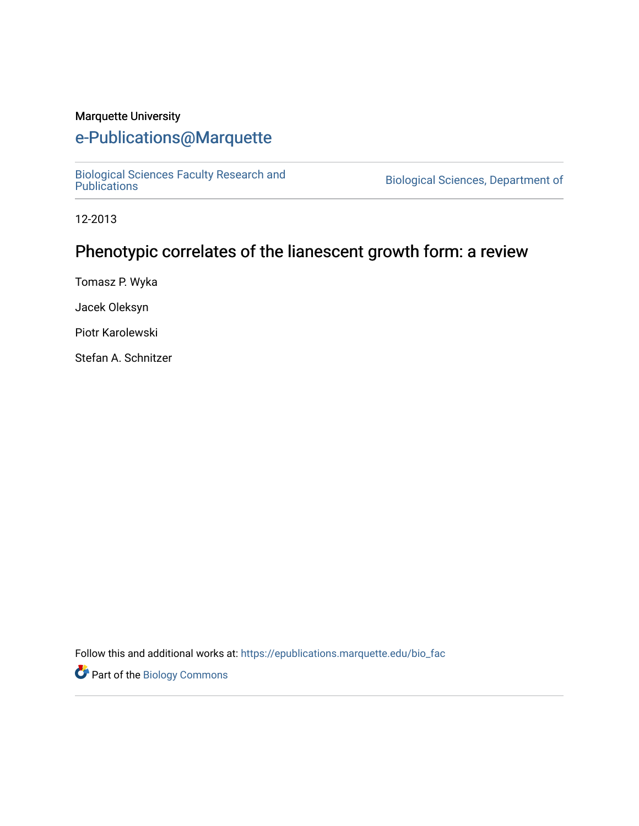#### Marquette University

# [e-Publications@Marquette](https://epublications.marquette.edu/)

[Biological Sciences Faculty Research and](https://epublications.marquette.edu/bio_fac)  [Publications](https://epublications.marquette.edu/bio_fac) [Biological Sciences, Department of](https://epublications.marquette.edu/biology) 

12-2013

# Phenotypic correlates of the lianescent growth form: a review

Tomasz P. Wyka

Jacek Oleksyn

Piotr Karolewski

Stefan A. Schnitzer

Follow this and additional works at: [https://epublications.marquette.edu/bio\\_fac](https://epublications.marquette.edu/bio_fac?utm_source=epublications.marquette.edu%2Fbio_fac%2F698&utm_medium=PDF&utm_campaign=PDFCoverPages) 

Part of the [Biology Commons](http://network.bepress.com/hgg/discipline/41?utm_source=epublications.marquette.edu%2Fbio_fac%2F698&utm_medium=PDF&utm_campaign=PDFCoverPages)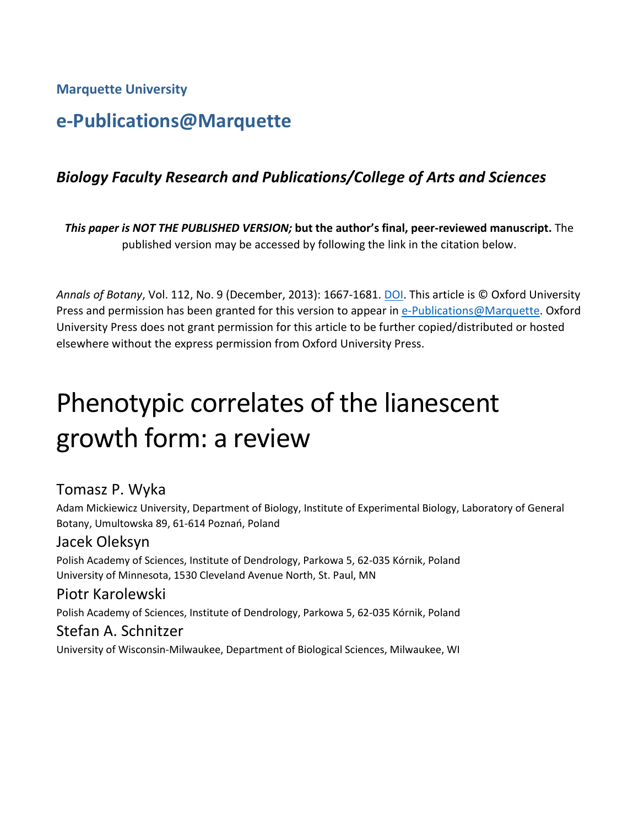**Marquette University**

# **e-Publications@Marquette**

## *Biology Faculty Research and Publications/College of Arts and Sciences*

*This paper is NOT THE PUBLISHED VERSION;* **but the author's final, peer-reviewed manuscript.** The published version may be accessed by following the link in the citation below.

*Annals of Botany*, Vol. 112, No. 9 (December, 2013): 1667-1681. DOI. This article is © Oxford University Press and permission has been granted for this version to appear in [e-Publications@Marquette.](http://epublications.marquette.edu/) Oxford University Press does not grant permission for this article to be further copied/distributed or hosted elsewhere without the express permission from Oxford University Press.

# Phenotypic correlates of the lianescent growth form: a review

## Tomasz P. Wyka

Adam Mickiewicz University, Department of Biology, Institute of Experimental Biology, Laboratory of General Botany, Umultowska 89, 61-614 Poznań, Poland

## Jacek Oleksyn

Polish Academy of Sciences, Institute of Dendrology, Parkowa 5, 62-035 Kórnik, Poland University of Minnesota, 1530 Cleveland Avenue North, St. Paul, MN

## Piotr Karolewski

Polish Academy of Sciences, Institute of Dendrology, Parkowa 5, 62-035 Kórnik, Poland

## Stefan A. Schnitzer

University of Wisconsin-Milwaukee, Department of Biological Sciences, Milwaukee, WI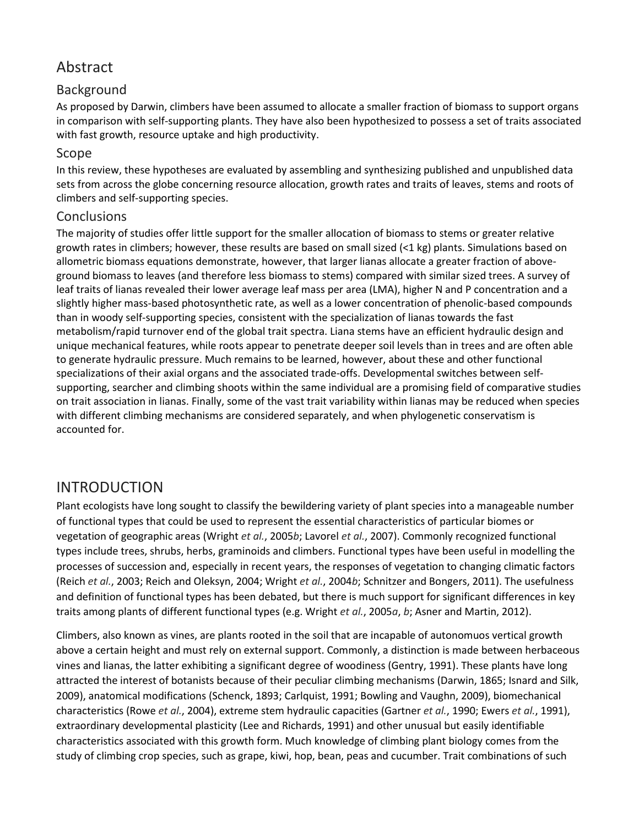## Abstract

## Background

As proposed by Darwin, climbers have been assumed to allocate a smaller fraction of biomass to support organs in comparison with self-supporting plants. They have also been hypothesized to possess a set of traits associated with fast growth, resource uptake and high productivity.

### Scope

In this review, these hypotheses are evaluated by assembling and synthesizing published and unpublished data sets from across the globe concerning resource allocation, growth rates and traits of leaves, stems and roots of climbers and self-supporting species.

### Conclusions

The majority of studies offer little support for the smaller allocation of biomass to stems or greater relative growth rates in climbers; however, these results are based on small sized (<1 kg) plants. Simulations based on allometric biomass equations demonstrate, however, that larger lianas allocate a greater fraction of aboveground biomass to leaves (and therefore less biomass to stems) compared with similar sized trees. A survey of leaf traits of lianas revealed their lower average leaf mass per area (LMA), higher N and P concentration and a slightly higher mass-based photosynthetic rate, as well as a lower concentration of phenolic-based compounds than in woody self-supporting species, consistent with the specialization of lianas towards the fast metabolism/rapid turnover end of the global trait spectra. Liana stems have an efficient hydraulic design and unique mechanical features, while roots appear to penetrate deeper soil levels than in trees and are often able to generate hydraulic pressure. Much remains to be learned, however, about these and other functional specializations of their axial organs and the associated trade-offs. Developmental switches between selfsupporting, searcher and climbing shoots within the same individual are a promising field of comparative studies on trait association in lianas. Finally, some of the vast trait variability within lianas may be reduced when species with different climbing mechanisms are considered separately, and when phylogenetic conservatism is accounted for.

## INTRODUCTION

Plant ecologists have long sought to classify the bewildering variety of plant species into a manageable number of functional types that could be used to represent the essential characteristics of particular biomes or vegetation of geographic areas (Wright *et al.*, 2005*b*; Lavorel *et al.*, 2007). Commonly recognized functional types include trees, shrubs, herbs, graminoids and climbers. Functional types have been useful in modelling the processes of succession and, especially in recent years, the responses of vegetation to changing climatic factors (Reich *et al.*, 2003; Reich and Oleksyn, 2004; Wright *et al.*, 2004*b*; Schnitzer and Bongers, 2011). The usefulness and definition of functional types has been debated, but there is much support for significant differences in key traits among plants of different functional types (e.g. Wright *et al.*, 2005*a*, *b*; Asner and Martin, 2012).

Climbers, also known as vines, are plants rooted in the soil that are incapable of autonomuos vertical growth above a certain height and must rely on external support. Commonly, a distinction is made between herbaceous vines and lianas, the latter exhibiting a significant degree of woodiness (Gentry, 1991). These plants have long attracted the interest of botanists because of their peculiar climbing mechanisms (Darwin, 1865; Isnard and Silk, 2009), anatomical modifications (Schenck, 1893; Carlquist, 1991; Bowling and Vaughn, 2009), biomechanical characteristics (Rowe *et al.*, 2004), extreme stem hydraulic capacities (Gartner *et al.*, 1990; Ewers *et al.*, 1991), extraordinary developmental plasticity (Lee and Richards, 1991) and other unusual but easily identifiable characteristics associated with this growth form. Much knowledge of climbing plant biology comes from the study of climbing crop species, such as grape, kiwi, hop, bean, peas and cucumber. Trait combinations of such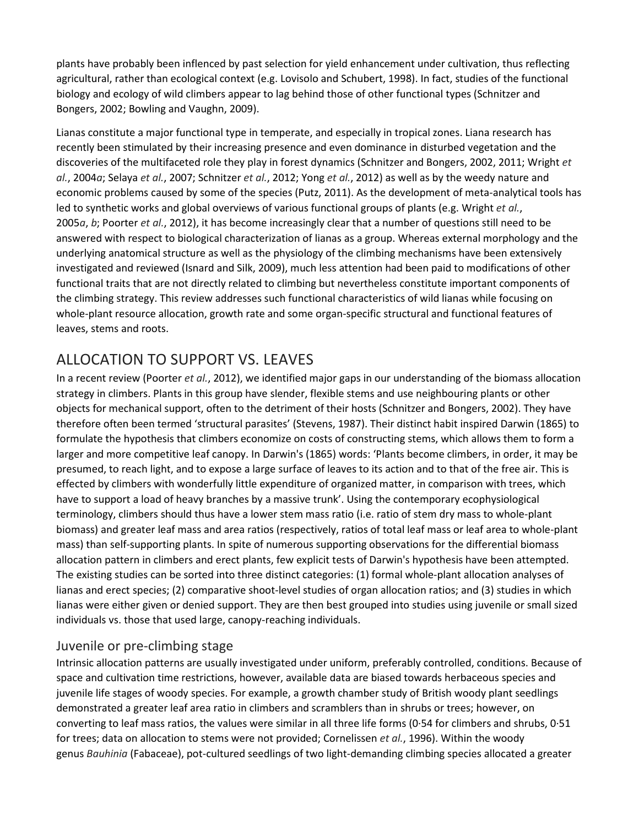plants have probably been inflenced by past selection for yield enhancement under cultivation, thus reflecting agricultural, rather than ecological context (e.g. Lovisolo and Schubert, 1998). In fact, studies of the functional biology and ecology of wild climbers appear to lag behind those of other functional types (Schnitzer and Bongers, 2002; Bowling and Vaughn, 2009).

Lianas constitute a major functional type in temperate, and especially in tropical zones. Liana research has recently been stimulated by their increasing presence and even dominance in disturbed vegetation and the discoveries of the multifaceted role they play in forest dynamics (Schnitzer and Bongers, 2002, 2011; Wright *et al.*, 2004*a*; Selaya *et al.*, 2007; Schnitzer *et al.*, 2012; Yong *et al.*, 2012) as well as by the weedy nature and economic problems caused by some of the species (Putz, 2011). As the development of meta-analytical tools has led to synthetic works and global overviews of various functional groups of plants (e.g. Wright *et al.*, 2005*a*, *b*; Poorter *et al.*, 2012), it has become increasingly clear that a number of questions still need to be answered with respect to biological characterization of lianas as a group. Whereas external morphology and the underlying anatomical structure as well as the physiology of the climbing mechanisms have been extensively investigated and reviewed (Isnard and Silk, 2009), much less attention had been paid to modifications of other functional traits that are not directly related to climbing but nevertheless constitute important components of the climbing strategy. This review addresses such functional characteristics of wild lianas while focusing on whole-plant resource allocation, growth rate and some organ-specific structural and functional features of leaves, stems and roots.

## ALLOCATION TO SUPPORT VS. LEAVES

In a recent review (Poorter *et al.*, 2012), we identified major gaps in our understanding of the biomass allocation strategy in climbers. Plants in this group have slender, flexible stems and use neighbouring plants or other objects for mechanical support, often to the detriment of their hosts (Schnitzer and Bongers, 2002). They have therefore often been termed 'structural parasites' (Stevens, 1987). Their distinct habit inspired Darwin (1865) to formulate the hypothesis that climbers economize on costs of constructing stems, which allows them to form a larger and more competitive leaf canopy. In Darwin's (1865) words: 'Plants become climbers, in order, it may be presumed, to reach light, and to expose a large surface of leaves to its action and to that of the free air. This is effected by climbers with wonderfully little expenditure of organized matter, in comparison with trees, which have to support a load of heavy branches by a massive trunk'. Using the contemporary ecophysiological terminology, climbers should thus have a lower stem mass ratio (i.e. ratio of stem dry mass to whole-plant biomass) and greater leaf mass and area ratios (respectively, ratios of total leaf mass or leaf area to whole-plant mass) than self-supporting plants. In spite of numerous supporting observations for the differential biomass allocation pattern in climbers and erect plants, few explicit tests of Darwin's hypothesis have been attempted. The existing studies can be sorted into three distinct categories: (1) formal whole-plant allocation analyses of lianas and erect species; (2) comparative shoot-level studies of organ allocation ratios; and (3) studies in which lianas were either given or denied support. They are then best grouped into studies using juvenile or small sized individuals vs. those that used large, canopy-reaching individuals.

### Juvenile or pre-climbing stage

Intrinsic allocation patterns are usually investigated under uniform, preferably controlled, conditions. Because of space and cultivation time restrictions, however, available data are biased towards herbaceous species and juvenile life stages of woody species. For example, a growth chamber study of British woody plant seedlings demonstrated a greater leaf area ratio in climbers and scramblers than in shrubs or trees; however, on converting to leaf mass ratios, the values were similar in all three life forms (0·54 for climbers and shrubs, 0·51 for trees; data on allocation to stems were not provided; Cornelissen *et al.*, 1996). Within the woody genus *Bauhinia* (Fabaceae), pot-cultured seedlings of two light-demanding climbing species allocated a greater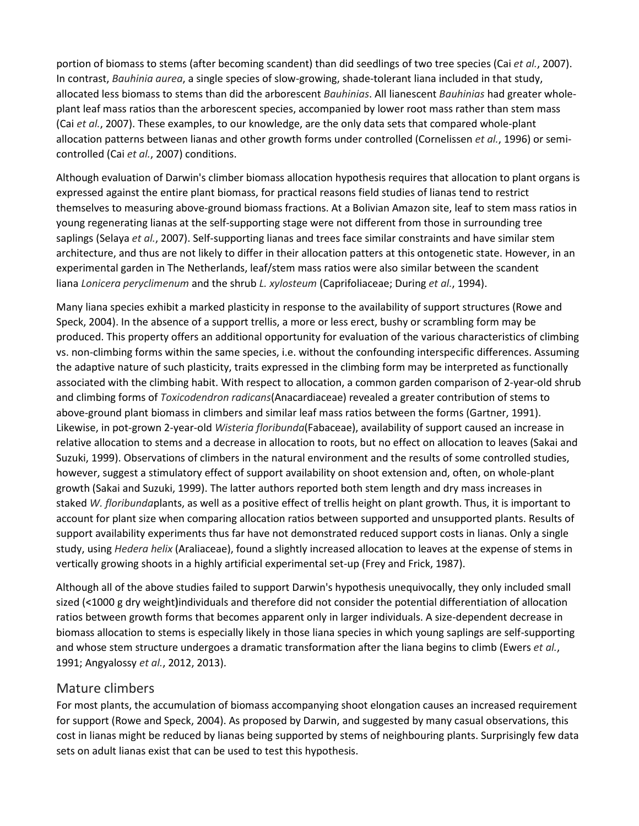portion of biomass to stems (after becoming scandent) than did seedlings of two tree species (Cai *et al.*, 2007). In contrast, *Bauhinia aurea*, a single species of slow-growing, shade-tolerant liana included in that study, allocated less biomass to stems than did the arborescent *Bauhinias*. All lianescent *Bauhinias* had greater wholeplant leaf mass ratios than the arborescent species, accompanied by lower root mass rather than stem mass (Cai *et al.*, 2007). These examples, to our knowledge, are the only data sets that compared whole-plant allocation patterns between lianas and other growth forms under controlled (Cornelissen *et al.*, 1996) or semicontrolled (Cai *et al.*, 2007) conditions.

Although evaluation of Darwin's climber biomass allocation hypothesis requires that allocation to plant organs is expressed against the entire plant biomass, for practical reasons field studies of lianas tend to restrict themselves to measuring above-ground biomass fractions. At a Bolivian Amazon site, leaf to stem mass ratios in young regenerating lianas at the self-supporting stage were not different from those in surrounding tree saplings (Selaya *et al.*, 2007). Self-supporting lianas and trees face similar constraints and have similar stem architecture, and thus are not likely to differ in their allocation patters at this ontogenetic state. However, in an experimental garden in The Netherlands, leaf/stem mass ratios were also similar between the scandent liana *Lonicera peryclimenum* and the shrub *L. xylosteum* (Caprifoliaceae; During *et al.*, 1994).

Many liana species exhibit a marked plasticity in response to the availability of support structures (Rowe and Speck, 2004). In the absence of a support trellis, a more or less erect, bushy or scrambling form may be produced. This property offers an additional opportunity for evaluation of the various characteristics of climbing vs. non-climbing forms within the same species, i.e. without the confounding interspecific differences. Assuming the adaptive nature of such plasticity, traits expressed in the climbing form may be interpreted as functionally associated with the climbing habit. With respect to allocation, a common garden comparison of 2-year-old shrub and climbing forms of *Toxicodendron radicans*(Anacardiaceae) revealed a greater contribution of stems to above-ground plant biomass in climbers and similar leaf mass ratios between the forms (Gartner, 1991). Likewise, in pot-grown 2-year-old *Wisteria floribunda*(Fabaceae), availability of support caused an increase in relative allocation to stems and a decrease in allocation to roots, but no effect on allocation to leaves (Sakai and Suzuki, 1999). Observations of climbers in the natural environment and the results of some controlled studies, however, suggest a stimulatory effect of support availability on shoot extension and, often, on whole-plant growth (Sakai and Suzuki, 1999). The latter authors reported both stem length and dry mass increases in staked *W. floribunda*plants, as well as a positive effect of trellis height on plant growth. Thus, it is important to account for plant size when comparing allocation ratios between supported and unsupported plants. Results of support availability experiments thus far have not demonstrated reduced support costs in lianas. Only a single study, using *Hedera helix* (Araliaceae), found a slightly increased allocation to leaves at the expense of stems in vertically growing shoots in a highly artificial experimental set-up (Frey and Frick, 1987).

Although all of the above studies failed to support Darwin's hypothesis unequivocally, they only included small sized (**<**1000 g dry weight**)**individuals and therefore did not consider the potential differentiation of allocation ratios between growth forms that becomes apparent only in larger individuals. A size-dependent decrease in biomass allocation to stems is especially likely in those liana species in which young saplings are self-supporting and whose stem structure undergoes a dramatic transformation after the liana begins to climb (Ewers *et al.*, 1991; Angyalossy *et al.*, 2012, 2013).

#### Mature climbers

For most plants, the accumulation of biomass accompanying shoot elongation causes an increased requirement for support (Rowe and Speck, 2004). As proposed by Darwin, and suggested by many casual observations, this cost in lianas might be reduced by lianas being supported by stems of neighbouring plants. Surprisingly few data sets on adult lianas exist that can be used to test this hypothesis.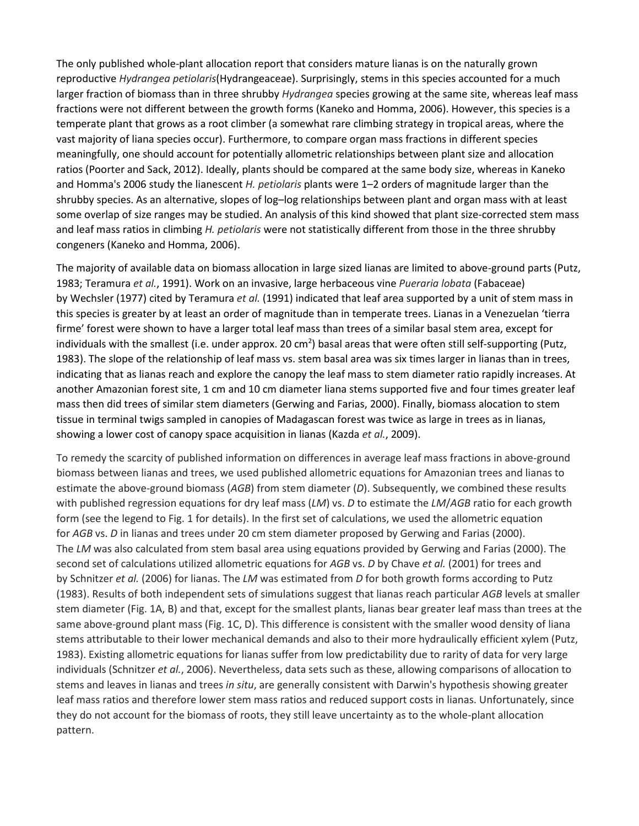The only published whole-plant allocation report that considers mature lianas is on the naturally grown reproductive *Hydrangea petiolaris*(Hydrangeaceae). Surprisingly, stems in this species accounted for a much larger fraction of biomass than in three shrubby *Hydrangea* species growing at the same site, whereas leaf mass fractions were not different between the growth forms (Kaneko and Homma, 2006). However, this species is a temperate plant that grows as a root climber (a somewhat rare climbing strategy in tropical areas, where the vast majority of liana species occur). Furthermore, to compare organ mass fractions in different species meaningfully, one should account for potentially allometric relationships between plant size and allocation ratios (Poorter and Sack, 2012). Ideally, plants should be compared at the same body size, whereas in Kaneko and Homma's 2006 study the lianescent *H. petiolaris* plants were 1–2 orders of magnitude larger than the shrubby species. As an alternative, slopes of log–log relationships between plant and organ mass with at least some overlap of size ranges may be studied. An analysis of this kind showed that plant size-corrected stem mass and leaf mass ratios in climbing *H. petiolaris* were not statistically different from those in the three shrubby congeners (Kaneko and Homma, 2006).

The majority of available data on biomass allocation in large sized lianas are limited to above-ground parts (Putz, 1983; Teramura *et al.*, 1991). Work on an invasive, large herbaceous vine *Pueraria lobata* (Fabaceae) by Wechsler (1977) cited by Teramura *et al.* (1991) indicated that leaf area supported by a unit of stem mass in this species is greater by at least an order of magnitude than in temperate trees. Lianas in a Venezuelan 'tierra firme' forest were shown to have a larger total leaf mass than trees of a similar basal stem area, except for individuals with the smallest (i.e. under approx. 20 cm<sup>2</sup>) basal areas that were often still self-supporting (Putz, 1983). The slope of the relationship of leaf mass vs. stem basal area was six times larger in lianas than in trees, indicating that as lianas reach and explore the canopy the leaf mass to stem diameter ratio rapidly increases. At another Amazonian forest site, 1 cm and 10 cm diameter liana stems supported five and four times greater leaf mass then did trees of similar stem diameters (Gerwing and Farias, 2000). Finally, biomass alocation to stem tissue in terminal twigs sampled in canopies of Madagascan forest was twice as large in trees as in lianas, showing a lower cost of canopy space acquisition in lianas (Kazda *et al.*, 2009).

To remedy the scarcity of published information on differences in average leaf mass fractions in above-ground biomass between lianas and trees, we used published allometric equations for Amazonian trees and lianas to estimate the above-ground biomass (*AGB*) from stem diameter (*D*). Subsequently, we combined these results with published regression equations for dry leaf mass (*LM*) vs. *D* to estimate the *LM*/*AGB* ratio for each growth form (see the legend to Fig. 1 for details). In the first set of calculations, we used the allometric equation for *AGB* vs. *D* in lianas and trees under 20 cm stem diameter proposed by Gerwing and Farias (2000). The *LM* was also calculated from stem basal area using equations provided by Gerwing and Farias (2000). The second set of calculations utilized allometric equations for *AGB* vs. *D* by Chave *et al.* (2001) for trees and by Schnitzer *et al.* (2006) for lianas. The *LM* was estimated from *D* for both growth forms according to Putz (1983). Results of both independent sets of simulations suggest that lianas reach particular *AGB* levels at smaller stem diameter (Fig. 1A, B) and that, except for the smallest plants, lianas bear greater leaf mass than trees at the same above-ground plant mass (Fig. 1C, D). This difference is consistent with the smaller wood density of liana stems attributable to their lower mechanical demands and also to their more hydraulically efficient xylem (Putz, 1983). Existing allometric equations for lianas suffer from low predictability due to rarity of data for very large individuals (Schnitzer *et al.*, 2006). Nevertheless, data sets such as these, allowing comparisons of allocation to stems and leaves in lianas and trees *in situ*, are generally consistent with Darwin's hypothesis showing greater leaf mass ratios and therefore lower stem mass ratios and reduced support costs in lianas. Unfortunately, since they do not account for the biomass of roots, they still leave uncertainty as to the whole-plant allocation pattern.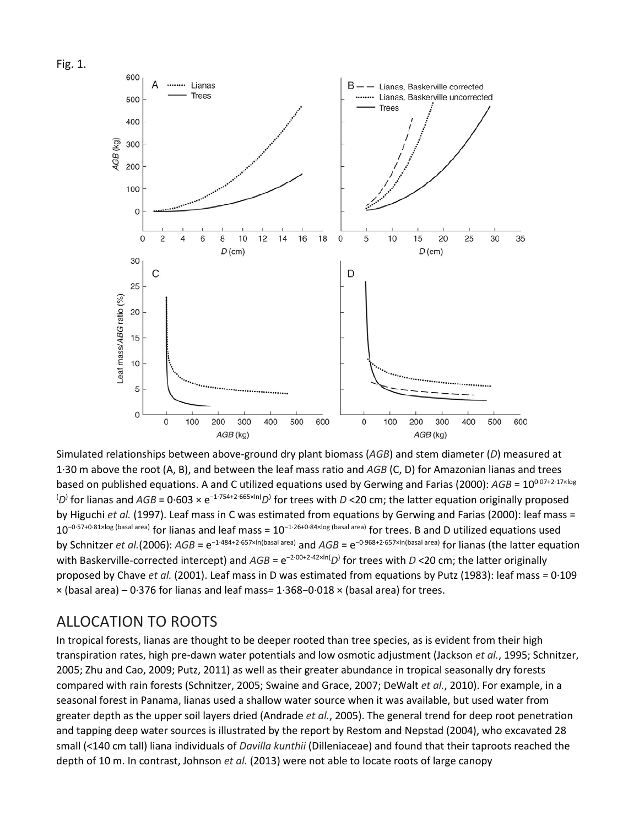Fig. 1.



Simulated relationships between above-ground dry plant biomass (*AGB*) and stem diameter (*D*) measured at 1·30 m above the root (A, B), and between the leaf mass ratio and *AGB* (C, D) for Amazonian lianas and trees based on published equations. A and C utilized equations used by Gerwing and Farias (2000): *AGB* = 10<sup>0-07+2·17×log</sup> ( *D*) for lianas and *AGB* = 0·603 × e<sup>−</sup>1·754+2·665×ln(*D*) for trees with *D* <20 cm; the latter equation originally proposed by Higuchi *et al.* (1997). Leaf mass in C was estimated from equations by Gerwing and Farias (2000): leaf mass = 10<sup>−</sup>0·57+0·81×log (basal area) for lianas and leaf mass = 10<sup>−</sup>1·26+0·84×log (basal area) for trees. B and D utilized equations used by Schnitzer *et al.*(2006): *AGB* = e<sup>−</sup>1·484+2·657×ln(basal area) and *AGB* = e<sup>−</sup>0·968+2·657×ln(basal area) for lianas (the latter equation with Baskerville-corrected intercept) and *AGB* = e<sup>-2·00+2·42×ln(*D*) for trees with *D* <20 cm; the latter originally</sup> proposed by Chave *et al.* (2001). Leaf mass in D was estimated from equations by Putz (1983): leaf mass *=* 0·109 × (basal area) – 0·376 for lianas and leaf mass*=* 1·368−0·018 × (basal area) for trees.

## ALLOCATION TO ROOTS

In tropical forests, lianas are thought to be deeper rooted than tree species, as is evident from their high transpiration rates, high pre-dawn water potentials and low osmotic adjustment (Jackson *et al.*, 1995; Schnitzer, 2005; Zhu and Cao, 2009; Putz, 2011) as well as their greater abundance in tropical seasonally dry forests compared with rain forests (Schnitzer, 2005; Swaine and Grace, 2007; DeWalt *et al.*, 2010). For example, in a seasonal forest in Panama, lianas used a shallow water source when it was available, but used water from greater depth as the upper soil layers dried (Andrade *et al.*, 2005). The general trend for deep root penetration and tapping deep water sources is illustrated by the report by Restom and Nepstad (2004), who excavated 28 small (<140 cm tall) liana individuals of *Davilla kunthii* (Dilleniaceae) and found that their taproots reached the depth of 10 m. In contrast, Johnson *et al.* (2013) were not able to locate roots of large canopy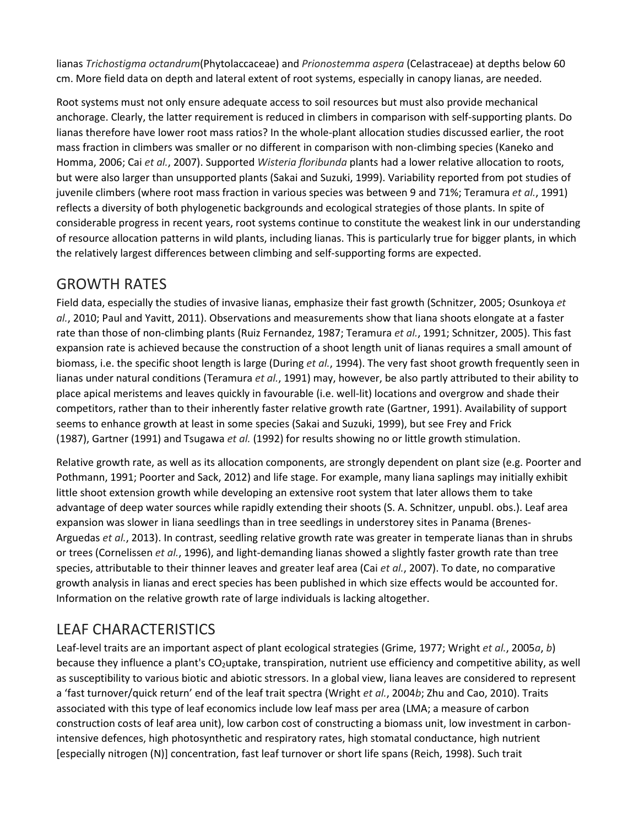lianas *Trichostigma octandrum*(Phytolaccaceae) and *Prionostemma aspera* (Celastraceae) at depths below 60 cm. More field data on depth and lateral extent of root systems, especially in canopy lianas, are needed.

Root systems must not only ensure adequate access to soil resources but must also provide mechanical anchorage. Clearly, the latter requirement is reduced in climbers in comparison with self-supporting plants. Do lianas therefore have lower root mass ratios? In the whole-plant allocation studies discussed earlier, the root mass fraction in climbers was smaller or no different in comparison with non-climbing species (Kaneko and Homma, 2006; Cai *et al.*, 2007). Supported *Wisteria floribunda* plants had a lower relative allocation to roots, but were also larger than unsupported plants (Sakai and Suzuki, 1999). Variability reported from pot studies of juvenile climbers (where root mass fraction in various species was between 9 and 71%; Teramura *et al.*, 1991) reflects a diversity of both phylogenetic backgrounds and ecological strategies of those plants. In spite of considerable progress in recent years, root systems continue to constitute the weakest link in our understanding of resource allocation patterns in wild plants, including lianas. This is particularly true for bigger plants, in which the relatively largest differences between climbing and self-supporting forms are expected.

## GROWTH RATES

Field data, especially the studies of invasive lianas, emphasize their fast growth (Schnitzer, 2005; Osunkoya *et al.*, 2010; Paul and Yavitt, 2011). Observations and measurements show that liana shoots elongate at a faster rate than those of non-climbing plants (Ruiz Fernandez, 1987; Teramura *et al.*, 1991; Schnitzer, 2005). This fast expansion rate is achieved because the construction of a shoot length unit of lianas requires a small amount of biomass, i.e. the specific shoot length is large (During *et al.*, 1994). The very fast shoot growth frequently seen in lianas under natural conditions (Teramura *et al.*, 1991) may, however, be also partly attributed to their ability to place apical meristems and leaves quickly in favourable (i.e. well-lit) locations and overgrow and shade their competitors, rather than to their inherently faster relative growth rate (Gartner, 1991). Availability of support seems to enhance growth at least in some species (Sakai and Suzuki, 1999), but see Frey and Frick (1987), Gartner (1991) and Tsugawa *et al.* (1992) for results showing no or little growth stimulation.

Relative growth rate, as well as its allocation components, are strongly dependent on plant size (e.g. Poorter and Pothmann, 1991; Poorter and Sack, 2012) and life stage. For example, many liana saplings may initially exhibit little shoot extension growth while developing an extensive root system that later allows them to take advantage of deep water sources while rapidly extending their shoots (S. A. Schnitzer, unpubl. obs.). Leaf area expansion was slower in liana seedlings than in tree seedlings in understorey sites in Panama (Brenes-Arguedas *et al.*, 2013). In contrast, seedling relative growth rate was greater in temperate lianas than in shrubs or trees (Cornelissen *et al.*, 1996), and light-demanding lianas showed a slightly faster growth rate than tree species, attributable to their thinner leaves and greater leaf area (Cai *et al.*, 2007). To date, no comparative growth analysis in lianas and erect species has been published in which size effects would be accounted for. Information on the relative growth rate of large individuals is lacking altogether.

## LEAF CHARACTERISTICS

Leaf-level traits are an important aspect of plant ecological strategies (Grime, 1977; Wright *et al.*, 2005*a*, *b*) because they influence a plant's CO<sub>2</sub>uptake, transpiration, nutrient use efficiency and competitive ability, as well as susceptibility to various biotic and abiotic stressors. In a global view, liana leaves are considered to represent a 'fast turnover/quick return' end of the leaf trait spectra (Wright *et al.*, 2004*b*; Zhu and Cao, 2010). Traits associated with this type of leaf economics include low leaf mass per area (LMA; a measure of carbon construction costs of leaf area unit), low carbon cost of constructing a biomass unit, low investment in carbonintensive defences, high photosynthetic and respiratory rates, high stomatal conductance, high nutrient [especially nitrogen (N)] concentration, fast leaf turnover or short life spans (Reich, 1998). Such trait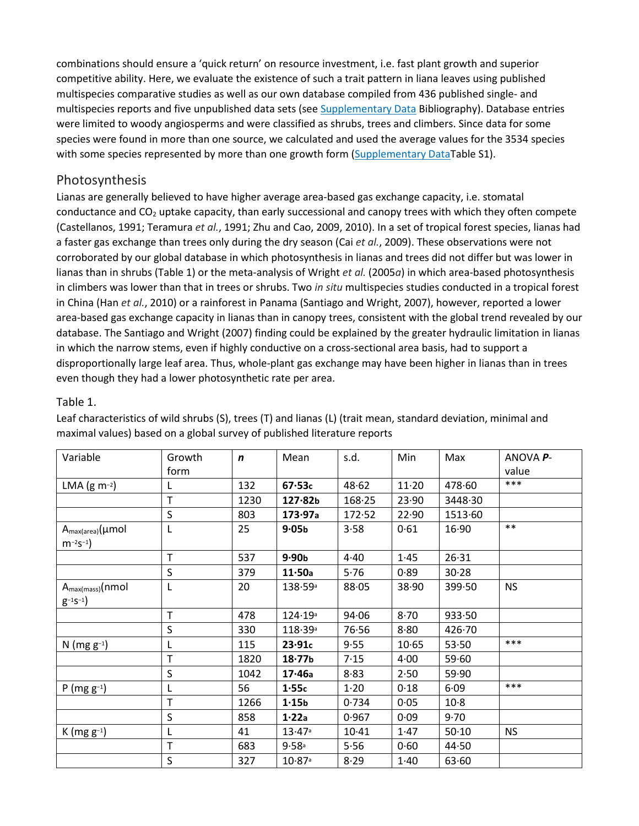combinations should ensure a 'quick return' on resource investment, i.e. fast plant growth and superior competitive ability. Here, we evaluate the existence of such a trait pattern in liana leaves using published multispecies comparative studies as well as our own database compiled from 436 published single- and multispecies reports and five unpublished data sets (see [Supplementary](https://oup.silverchair-cdn.com/oup/backfile/Content_public/Journal/aob/112/9/10.1093_aob_mct236/2/mct236_Supplementary_Data.zip?Expires=1562958596&Signature=u2PEB-6O086tTMrIx9m2kY-BGIsBkjb5teeZyXiyYKr-FnanwwNvw8iORSOHMC9rZnq6J6UHMoQ8C6iOQLW2WqSozDFWgiG4w2H1MgLCwjL8UXkUaD%7EZmkEkGtmMKflg87Rwbt-gTq1UMqt9c3c2B%7EUCPLCZJa0GWUwbweEZ8uYkIB6hORWJtJslAtpbLVsPU4rBDDsPhoicBDgSOIq5l2EN4i128CszVtdXqXJRmCGAk0i2XeBQdJ%7EodJehoKb-G0gmqGgZ4OL3zi2jlG3K4Zmf5hIgD6nP737EEdExsHiS1ISs65L1yrXBLaRlGaSjoD-7Z3TWD0yu-%7EA5E4wAFA__&Key-Pair-Id=APKAIE5G5CRDK6RD3PGA) Data Bibliography). Database entries were limited to woody angiosperms and were classified as shrubs, trees and climbers. Since data for some species were found in more than one source, we calculated and used the average values for the 3534 species with some species represented by more than one growth form [\(Supplementary](https://oup.silverchair-cdn.com/oup/backfile/Content_public/Journal/aob/112/9/10.1093_aob_mct236/2/mct236_Supplementary_Data.zip?Expires=1562958596&Signature=u2PEB-6O086tTMrIx9m2kY-BGIsBkjb5teeZyXiyYKr-FnanwwNvw8iORSOHMC9rZnq6J6UHMoQ8C6iOQLW2WqSozDFWgiG4w2H1MgLCwjL8UXkUaD%7EZmkEkGtmMKflg87Rwbt-gTq1UMqt9c3c2B%7EUCPLCZJa0GWUwbweEZ8uYkIB6hORWJtJslAtpbLVsPU4rBDDsPhoicBDgSOIq5l2EN4i128CszVtdXqXJRmCGAk0i2XeBQdJ%7EodJehoKb-G0gmqGgZ4OL3zi2jlG3K4Zmf5hIgD6nP737EEdExsHiS1ISs65L1yrXBLaRlGaSjoD-7Z3TWD0yu-%7EA5E4wAFA__&Key-Pair-Id=APKAIE5G5CRDK6RD3PGA) DataTable S1).

### Photosynthesis

Lianas are generally believed to have higher average area-based gas exchange capacity, i.e. stomatal conductance and CO<sub>2</sub> uptake capacity, than early successional and canopy trees with which they often compete (Castellanos, 1991; Teramura *et al.*, 1991; Zhu and Cao, 2009, 2010). In a set of tropical forest species, lianas had a faster gas exchange than trees only during the dry season (Cai *et al.*, 2009). These observations were not corroborated by our global database in which photosynthesis in lianas and trees did not differ but was lower in lianas than in shrubs (Table 1) or the meta-analysis of Wright *et al.* (2005*a*) in which area-based photosynthesis in climbers was lower than that in trees or shrubs. Two *in situ* multispecies studies conducted in a tropical forest in China (Han *et al.*, 2010) or a rainforest in Panama (Santiago and Wright, 2007), however, reported a lower area-based gas exchange capacity in lianas than in canopy trees, consistent with the global trend revealed by our database. The Santiago and Wright (2007) finding could be explained by the greater hydraulic limitation in lianas in which the narrow stems, even if highly conductive on a cross-sectional area basis, had to support a disproportionally large leaf area. Thus, whole-plant gas exchange may have been higher in lianas than in trees even though they had a lower photosynthetic rate per area.

#### Table 1.

Leaf characteristics of wild shrubs (S), trees (T) and lianas (L) (trait mean, standard deviation, minimal and maximal values) based on a global survey of published literature reports

| Variable                                       | Growth | $\mathbf n$ | Mean                | s.d.     | Min       | Max     | ANOVA P-  |
|------------------------------------------------|--------|-------------|---------------------|----------|-----------|---------|-----------|
|                                                | form   |             |                     |          |           |         | value     |
| LMA $(g m^{-2})$                               | L      | 132         | 67.53c              | 48.62    | $11 - 20$ | 478.60  | ***       |
|                                                | T      | 1230        | 127.82 <sub>b</sub> | 168.25   | 23.90     | 3448.30 |           |
|                                                | S      | 803         | 173.97a             | 172.52   | 22.90     | 1513.60 |           |
| $A_{\text{max(area)}}(\mu \text{mol})$         | L      | 25          | 9.05 <sub>b</sub>   | 3.58     | 0.61      | 16.90   | $***$     |
| $m^{-2}S^{-1}$                                 |        |             |                     |          |           |         |           |
|                                                | T      | 537         | 9.90 <sub>b</sub>   | 4.40     | 1.45      | 26.31   |           |
|                                                | S      | 379         | 11.50a              | 5.76     | 0.89      | 30.28   |           |
| $A_{\text{max(mass)}}(nmol)$<br>$g^{-1}S^{-1}$ | L      | 20          | 138.59a             | 88.05    | 38.90     | 399.50  | <b>NS</b> |
|                                                | T      | 478         | 124.19a             | 94.06    | 8.70      | 933.50  |           |
|                                                | S      | 330         | 118.39a             | 76.56    | 8.80      | 426.70  |           |
| $N$ (mg $g^{-1}$ )                             | L      | 115         | 23.91c              | 9.55     | 10.65     | 53.50   | ***       |
|                                                | Т      | 1820        | 18.77 <sub>b</sub>  | 7.15     | 4.00      | 59.60   |           |
|                                                | S      | 1042        | 17.46a              | 8.83     | 2.50      | 59.90   |           |
| $P$ (mg $g^{-1}$ )                             | L      | 56          | 1.55c               | $1 - 20$ | 0.18      | 6.09    | $***$     |
|                                                | T      | 1266        | 1.15 <sub>b</sub>   | 0.734    | 0.05      | $10-8$  |           |
|                                                | S      | 858         | 1.22a               | 0.967    | 0.09      | 9.70    |           |
| $K$ (mg $g^{-1}$ )                             | L      | 41          | 13.47a              | 10.41    | 1.47      | 50.10   | <b>NS</b> |
|                                                | T      | 683         | 9.58a               | 5.56     | 0.60      | 44.50   |           |
|                                                | S      | 327         | 10.87a              | 8.29     | 1.40      | 63.60   |           |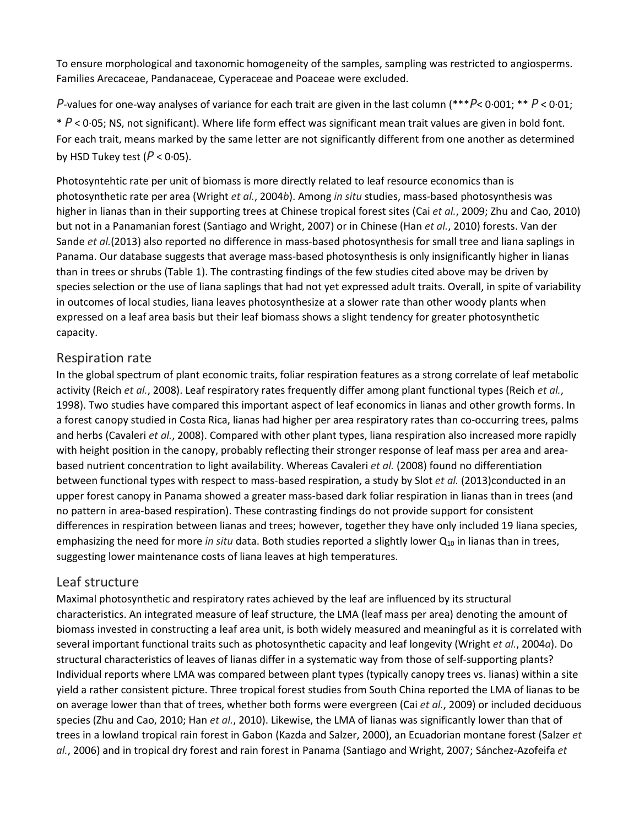To ensure morphological and taxonomic homogeneity of the samples, sampling was restricted to angiosperms. Families Arecaceae, Pandanaceae, Cyperaceae and Poaceae were excluded.

*P*-values for one-way analyses of variance for each trait are given in the last column (\*\*\**P*< 0·001; \*\* *P* < 0·01; \* *P* < 0·05; NS, not significant). Where life form effect was significant mean trait values are given in bold font. For each trait, means marked by the same letter are not significantly different from one another as determined by HSD Tukey test  $(P < 0.05)$ .

Photosyntehtic rate per unit of biomass is more directly related to leaf resource economics than is photosynthetic rate per area (Wright *et al.*, 2004*b*). Among *in situ* studies, mass-based photosynthesis was higher in lianas than in their supporting trees at Chinese tropical forest sites (Cai *et al.*, 2009; Zhu and Cao, 2010) but not in a Panamanian forest (Santiago and Wright, 2007) or in Chinese (Han *et al.*, 2010) forests. Van der Sande *et al.*(2013) also reported no difference in mass-based photosynthesis for small tree and liana saplings in Panama. Our database suggests that average mass-based photosynthesis is only insignificantly higher in lianas than in trees or shrubs (Table 1). The contrasting findings of the few studies cited above may be driven by species selection or the use of liana saplings that had not yet expressed adult traits. Overall, in spite of variability in outcomes of local studies, liana leaves photosynthesize at a slower rate than other woody plants when expressed on a leaf area basis but their leaf biomass shows a slight tendency for greater photosynthetic capacity.

#### Respiration rate

In the global spectrum of plant economic traits, foliar respiration features as a strong correlate of leaf metabolic activity (Reich *et al.*, 2008). Leaf respiratory rates frequently differ among plant functional types (Reich *et al.*, 1998). Two studies have compared this important aspect of leaf economics in lianas and other growth forms. In a forest canopy studied in Costa Rica, lianas had higher per area respiratory rates than co-occurring trees, palms and herbs (Cavaleri *et al.*, 2008). Compared with other plant types, liana respiration also increased more rapidly with height position in the canopy, probably reflecting their stronger response of leaf mass per area and areabased nutrient concentration to light availability. Whereas Cavaleri *et al.* (2008) found no differentiation between functional types with respect to mass-based respiration, a study by Slot *et al.* (2013)conducted in an upper forest canopy in Panama showed a greater mass-based dark foliar respiration in lianas than in trees (and no pattern in area-based respiration). These contrasting findings do not provide support for consistent differences in respiration between lianas and trees; however, together they have only included 19 liana species, emphasizing the need for more *in situ* data. Both studies reported a slightly lower Q<sub>10</sub> in lianas than in trees, suggesting lower maintenance costs of liana leaves at high temperatures.

### Leaf structure

Maximal photosynthetic and respiratory rates achieved by the leaf are influenced by its structural characteristics. An integrated measure of leaf structure, the LMA (leaf mass per area) denoting the amount of biomass invested in constructing a leaf area unit, is both widely measured and meaningful as it is correlated with several important functional traits such as photosynthetic capacity and leaf longevity (Wright *et al.*, 2004*a*). Do structural characteristics of leaves of lianas differ in a systematic way from those of self-supporting plants? Individual reports where LMA was compared between plant types (typically canopy trees vs. lianas) within a site yield a rather consistent picture. Three tropical forest studies from South China reported the LMA of lianas to be on average lower than that of trees, whether both forms were evergreen (Cai *et al.*, 2009) or included deciduous species (Zhu and Cao, 2010; Han *et al.*, 2010). Likewise, the LMA of lianas was significantly lower than that of trees in a lowland tropical rain forest in Gabon (Kazda and Salzer, 2000), an Ecuadorian montane forest (Salzer *et al.*, 2006) and in tropical dry forest and rain forest in Panama (Santiago and Wright, 2007; Sánchez-Azofeifa *et*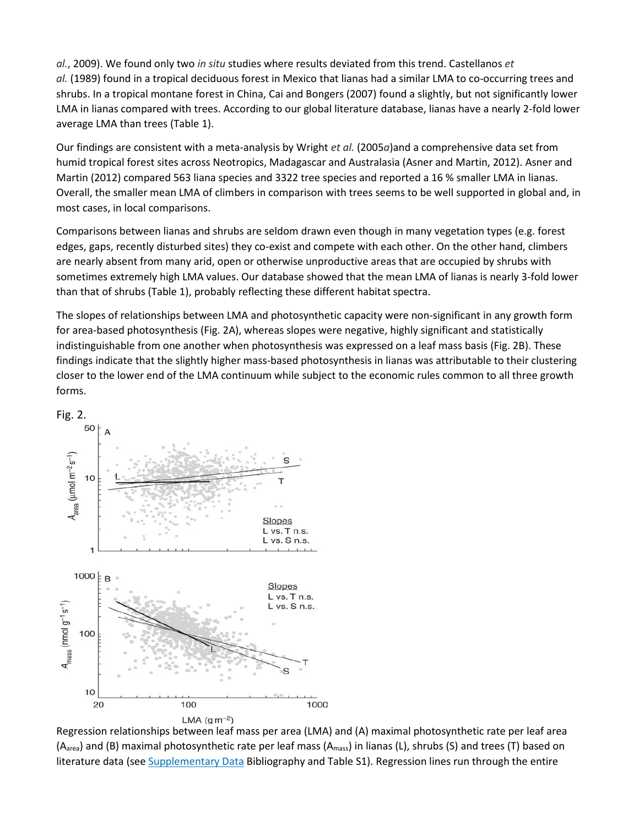*al.*, 2009). We found only two *in situ* studies where results deviated from this trend. Castellanos *et al.* (1989) found in a tropical deciduous forest in Mexico that lianas had a similar LMA to co-occurring trees and shrubs. In a tropical montane forest in China, Cai and Bongers (2007) found a slightly, but not significantly lower LMA in lianas compared with trees. According to our global literature database, lianas have a nearly 2-fold lower average LMA than trees (Table 1).

Our findings are consistent with a meta-analysis by Wright *et al.* (2005*a*)and a comprehensive data set from humid tropical forest sites across Neotropics, Madagascar and Australasia (Asner and Martin, 2012). Asner and Martin (2012) compared 563 liana species and 3322 tree species and reported a 16 % smaller LMA in lianas. Overall, the smaller mean LMA of climbers in comparison with trees seems to be well supported in global and, in most cases, in local comparisons.

Comparisons between lianas and shrubs are seldom drawn even though in many vegetation types (e.g. forest edges, gaps, recently disturbed sites) they co-exist and compete with each other. On the other hand, climbers are nearly absent from many arid, open or otherwise unproductive areas that are occupied by shrubs with sometimes extremely high LMA values. Our database showed that the mean LMA of lianas is nearly 3-fold lower than that of shrubs (Table 1), probably reflecting these different habitat spectra.

The slopes of relationships between LMA and photosynthetic capacity were non-significant in any growth form for area-based photosynthesis (Fig. 2A), whereas slopes were negative, highly significant and statistically indistinguishable from one another when photosynthesis was expressed on a leaf mass basis (Fig. 2B). These findings indicate that the slightly higher mass-based photosynthesis in lianas was attributable to their clustering closer to the lower end of the LMA continuum while subject to the economic rules common to all three growth forms.



Regression relationships between leaf mass per area (LMA) and (A) maximal photosynthetic rate per leaf area (A<sub>area</sub>) and (B) maximal photosynthetic rate per leaf mass (A<sub>mass</sub>) in lianas (L), shrubs (S) and trees (T) based on literature data (see [Supplementary](https://oup.silverchair-cdn.com/oup/backfile/Content_public/Journal/aob/112/9/10.1093_aob_mct236/2/mct236_Supplementary_Data.zip?Expires=1562958596&Signature=u2PEB-6O086tTMrIx9m2kY-BGIsBkjb5teeZyXiyYKr-FnanwwNvw8iORSOHMC9rZnq6J6UHMoQ8C6iOQLW2WqSozDFWgiG4w2H1MgLCwjL8UXkUaD%7EZmkEkGtmMKflg87Rwbt-gTq1UMqt9c3c2B%7EUCPLCZJa0GWUwbweEZ8uYkIB6hORWJtJslAtpbLVsPU4rBDDsPhoicBDgSOIq5l2EN4i128CszVtdXqXJRmCGAk0i2XeBQdJ%7EodJehoKb-G0gmqGgZ4OL3zi2jlG3K4Zmf5hIgD6nP737EEdExsHiS1ISs65L1yrXBLaRlGaSjoD-7Z3TWD0yu-%7EA5E4wAFA__&Key-Pair-Id=APKAIE5G5CRDK6RD3PGA) Data Bibliography and Table S1). Regression lines run through the entire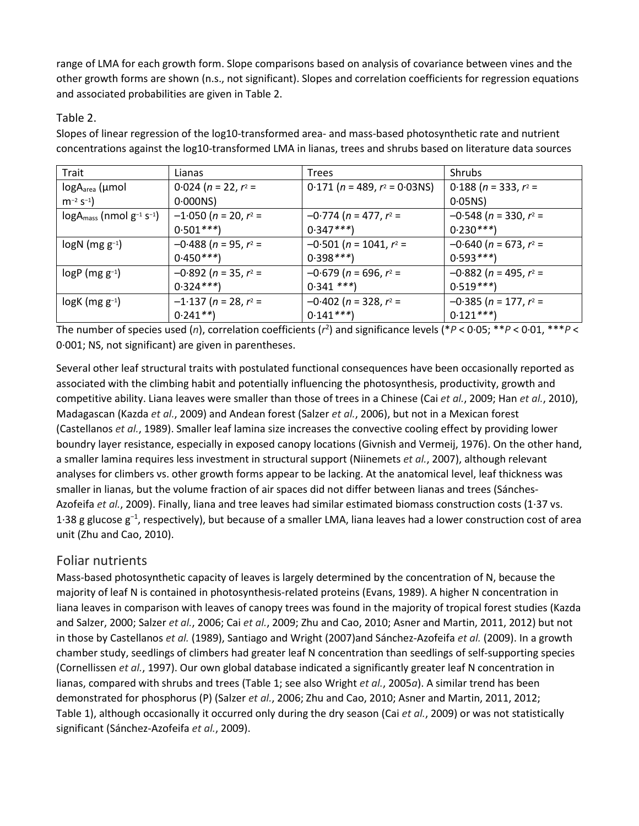range of LMA for each growth form. Slope comparisons based on analysis of covariance between vines and the other growth forms are shown (n.s., not significant). Slopes and correlation coefficients for regression equations and associated probabilities are given in Table 2.

#### Table 2.

Trait Lianas Trees Shrubs logAarea (μmol m−<sup>2</sup> s−1) 0·024 (*n* = 22, *r*<sup>2</sup> = 0·000NS)  $0.171$  (*n* = 489,  $r^2$  = 0.03NS)  $\bigcup$  0.188 (*n* = 333,  $r^2$  = 0·05NS) logAmass (nmol g−<sup>1</sup> s−1) –1·050 (*n* = 20, *r*<sup>2</sup> = 0·501*\*\*\**) –0·774 (*n* = 477, *r*<sup>2</sup> = 0·347*\*\*\**)  $-0.548$  (*n* = 330, *r*<sup>2</sup> = 0·230*\*\*\**) logN (mg g−1) –0·488 (*n* = 95, *r*<sup>2</sup> = 0·450*\*\*\**)  $-0.501$  (*n* = 1041, *r*<sup>2</sup> = 0·398*\*\*\**)  $-0.640$  (*n* = 673, *r*<sup>2</sup> = 0·593*\*\*\**) logP (mg g−1) –0·892 (*n* = 35, *r*<sup>2</sup> = 0·324*\*\*\**) –0·679 (*n* = 696, *r*<sup>2</sup> = 0·341 *\*\*\**)  $-0.882$  (*n* = 495, *r*<sup>2</sup> = 0·519*\*\*\**) logK (mg g<sup>-1</sup>) –1·137 (*n* = 28, *r*<sup>2</sup> = 0·241*\*\**) –0·402 (*n* = 328, *r*<sup>2</sup> = 0·141*\*\*\**) –0·385 (*n* = 177, *r*<sup>2</sup> = 0·121*\*\*\**)

Slopes of linear regression of the log10-transformed area- and mass-based photosynthetic rate and nutrient concentrations against the log10-transformed LMA in lianas, trees and shrubs based on literature data sources

The number of species used (n), correlation coefficients ( $r^2$ ) and significance levels ( $*P < 0.05$ ;  $**P < 0.01$ ,  $***P <$ 0·001; NS, not significant) are given in parentheses.

Several other leaf structural traits with postulated functional consequences have been occasionally reported as associated with the climbing habit and potentially influencing the photosynthesis, productivity, growth and competitive ability. Liana leaves were smaller than those of trees in a Chinese (Cai *et al.*, 2009; Han *et al.*, 2010), Madagascan (Kazda *et al.*, 2009) and Andean forest (Salzer *et al.*, 2006), but not in a Mexican forest (Castellanos *et al.*, 1989). Smaller leaf lamina size increases the convective cooling effect by providing lower boundry layer resistance, especially in exposed canopy locations (Givnish and Vermeij, 1976). On the other hand, a smaller lamina requires less investment in structural support (Niinemets *et al.*, 2007), although relevant analyses for climbers vs. other growth forms appear to be lacking. At the anatomical level, leaf thickness was smaller in lianas, but the volume fraction of air spaces did not differ between lianas and trees (Sánches-Azofeifa *et al.*, 2009). Finally, liana and tree leaves had similar estimated biomass construction costs (1·37 vs. 1·38 g glucose g<sup>-1</sup>, respectively), but because of a smaller LMA, liana leaves had a lower construction cost of area unit (Zhu and Cao, 2010).

## Foliar nutrients

Mass-based photosynthetic capacity of leaves is largely determined by the concentration of N, because the majority of leaf N is contained in photosynthesis-related proteins (Evans, 1989). A higher N concentration in liana leaves in comparison with leaves of canopy trees was found in the majority of tropical forest studies (Kazda and Salzer, 2000; Salzer *et al.*, 2006; Cai *et al.*, 2009; Zhu and Cao, 2010; Asner and Martin, 2011, 2012) but not in those by Castellanos *et al.* (1989), Santiago and Wright (2007)and Sánchez-Azofeifa *et al.* (2009). In a growth chamber study, seedlings of climbers had greater leaf N concentration than seedlings of self-supporting species (Cornellissen *et al.*, 1997). Our own global database indicated a significantly greater leaf N concentration in lianas, compared with shrubs and trees (Table 1; see also Wright *et al.*, 2005*a*). A similar trend has been demonstrated for phosphorus (P) (Salzer *et al.*, 2006; Zhu and Cao, 2010; Asner and Martin, 2011, 2012; Table 1), although occasionally it occurred only during the dry season (Cai *et al.*, 2009) or was not statistically significant (Sánchez-Azofeifa *et al.*, 2009).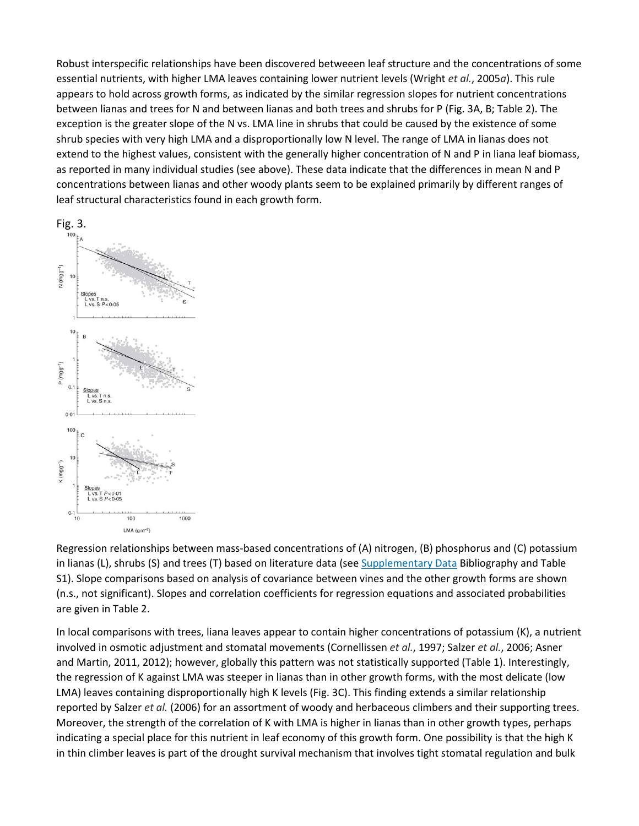Robust interspecific relationships have been discovered betweeen leaf structure and the concentrations of some essential nutrients, with higher LMA leaves containing lower nutrient levels (Wright *et al.*, 2005*a*). This rule appears to hold across growth forms, as indicated by the similar regression slopes for nutrient concentrations between lianas and trees for N and between lianas and both trees and shrubs for P (Fig. 3A, B; Table 2). The exception is the greater slope of the N vs. LMA line in shrubs that could be caused by the existence of some shrub species with very high LMA and a disproportionally low N level. The range of LMA in lianas does not extend to the highest values, consistent with the generally higher concentration of N and P in liana leaf biomass, as reported in many individual studies (see above). These data indicate that the differences in mean N and P concentrations between lianas and other woody plants seem to be explained primarily by different ranges of leaf structural characteristics found in each growth form.



Regression relationships between mass-based concentrations of (A) nitrogen, (B) phosphorus and (C) potassium in lianas (L), shrubs (S) and trees (T) based on literature data (see [Supplementary](https://oup.silverchair-cdn.com/oup/backfile/Content_public/Journal/aob/112/9/10.1093_aob_mct236/2/mct236_Supplementary_Data.zip?Expires=1562958596&Signature=u2PEB-6O086tTMrIx9m2kY-BGIsBkjb5teeZyXiyYKr-FnanwwNvw8iORSOHMC9rZnq6J6UHMoQ8C6iOQLW2WqSozDFWgiG4w2H1MgLCwjL8UXkUaD%7EZmkEkGtmMKflg87Rwbt-gTq1UMqt9c3c2B%7EUCPLCZJa0GWUwbweEZ8uYkIB6hORWJtJslAtpbLVsPU4rBDDsPhoicBDgSOIq5l2EN4i128CszVtdXqXJRmCGAk0i2XeBQdJ%7EodJehoKb-G0gmqGgZ4OL3zi2jlG3K4Zmf5hIgD6nP737EEdExsHiS1ISs65L1yrXBLaRlGaSjoD-7Z3TWD0yu-%7EA5E4wAFA__&Key-Pair-Id=APKAIE5G5CRDK6RD3PGA) Data Bibliography and Table S1). Slope comparisons based on analysis of covariance between vines and the other growth forms are shown (n.s., not significant). Slopes and correlation coefficients for regression equations and associated probabilities are given in Table 2.

In local comparisons with trees, liana leaves appear to contain higher concentrations of potassium (K), a nutrient involved in osmotic adjustment and stomatal movements (Cornellissen *et al.*, 1997; Salzer *et al.*, 2006; Asner and Martin, 2011, 2012); however, globally this pattern was not statistically supported (Table 1). Interestingly, the regression of K against LMA was steeper in lianas than in other growth forms, with the most delicate (low LMA) leaves containing disproportionally high K levels (Fig. 3C). This finding extends a similar relationship reported by Salzer *et al.* (2006) for an assortment of woody and herbaceous climbers and their supporting trees. Moreover, the strength of the correlation of K with LMA is higher in lianas than in other growth types, perhaps indicating a special place for this nutrient in leaf economy of this growth form. One possibility is that the high K in thin climber leaves is part of the drought survival mechanism that involves tight stomatal regulation and bulk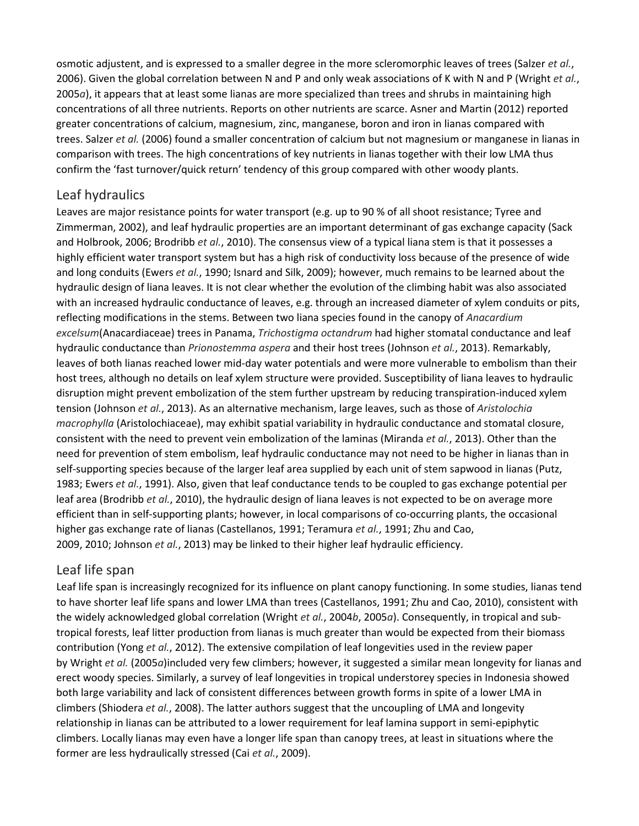osmotic adjustent, and is expressed to a smaller degree in the more scleromorphic leaves of trees (Salzer *et al.*, 2006). Given the global correlation between N and P and only weak associations of K with N and P (Wright *et al.*, 2005*a*), it appears that at least some lianas are more specialized than trees and shrubs in maintaining high concentrations of all three nutrients. Reports on other nutrients are scarce. Asner and Martin (2012) reported greater concentrations of calcium, magnesium, zinc, manganese, boron and iron in lianas compared with trees. Salzer *et al.* (2006) found a smaller concentration of calcium but not magnesium or manganese in lianas in comparison with trees. The high concentrations of key nutrients in lianas together with their low LMA thus confirm the 'fast turnover/quick return' tendency of this group compared with other woody plants.

#### Leaf hydraulics

Leaves are major resistance points for water transport (e.g. up to 90 % of all shoot resistance; Tyree and Zimmerman, 2002), and leaf hydraulic properties are an important determinant of gas exchange capacity (Sack and Holbrook, 2006; Brodribb *et al.*, 2010). The consensus view of a typical liana stem is that it possesses a highly efficient water transport system but has a high risk of conductivity loss because of the presence of wide and long conduits (Ewers *et al.*, 1990; Isnard and Silk, 2009); however, much remains to be learned about the hydraulic design of liana leaves. It is not clear whether the evolution of the climbing habit was also associated with an increased hydraulic conductance of leaves, e.g. through an increased diameter of xylem conduits or pits, reflecting modifications in the stems. Between two liana species found in the canopy of *Anacardium excelsum*(Anacardiaceae) trees in Panama, *Trichostigma octandrum* had higher stomatal conductance and leaf hydraulic conductance than *Prionostemma aspera* and their host trees (Johnson *et al.*, 2013). Remarkably, leaves of both lianas reached lower mid-day water potentials and were more vulnerable to embolism than their host trees, although no details on leaf xylem structure were provided. Susceptibility of liana leaves to hydraulic disruption might prevent embolization of the stem further upstream by reducing transpiration-induced xylem tension (Johnson *et al.*, 2013). As an alternative mechanism, large leaves, such as those of *Aristolochia macrophylla* (Aristolochiaceae), may exhibit spatial variability in hydraulic conductance and stomatal closure, consistent with the need to prevent vein embolization of the laminas (Miranda *et al.*, 2013). Other than the need for prevention of stem embolism, leaf hydraulic conductance may not need to be higher in lianas than in self-supporting species because of the larger leaf area supplied by each unit of stem sapwood in lianas (Putz, 1983; Ewers *et al.*, 1991). Also, given that leaf conductance tends to be coupled to gas exchange potential per leaf area (Brodribb *et al.*, 2010), the hydraulic design of liana leaves is not expected to be on average more efficient than in self-supporting plants; however, in local comparisons of co-occurring plants, the occasional higher gas exchange rate of lianas (Castellanos, 1991; Teramura *et al.*, 1991; Zhu and Cao, 2009, 2010; Johnson *et al.*, 2013) may be linked to their higher leaf hydraulic efficiency.

### Leaf life span

Leaf life span is increasingly recognized for its influence on plant canopy functioning. In some studies, lianas tend to have shorter leaf life spans and lower LMA than trees (Castellanos, 1991; Zhu and Cao, 2010), consistent with the widely acknowledged global correlation (Wright *et al.*, 2004*b*, 2005*a*). Consequently, in tropical and subtropical forests, leaf litter production from lianas is much greater than would be expected from their biomass contribution (Yong *et al.*, 2012). The extensive compilation of leaf longevities used in the review paper by Wright *et al.* (2005*a*)included very few climbers; however, it suggested a similar mean longevity for lianas and erect woody species. Similarly, a survey of leaf longevities in tropical understorey species in Indonesia showed both large variability and lack of consistent differences between growth forms in spite of a lower LMA in climbers (Shiodera *et al.*, 2008). The latter authors suggest that the uncoupling of LMA and longevity relationship in lianas can be attributed to a lower requirement for leaf lamina support in semi-epiphytic climbers. Locally lianas may even have a longer life span than canopy trees, at least in situations where the former are less hydraulically stressed (Cai *et al.*, 2009).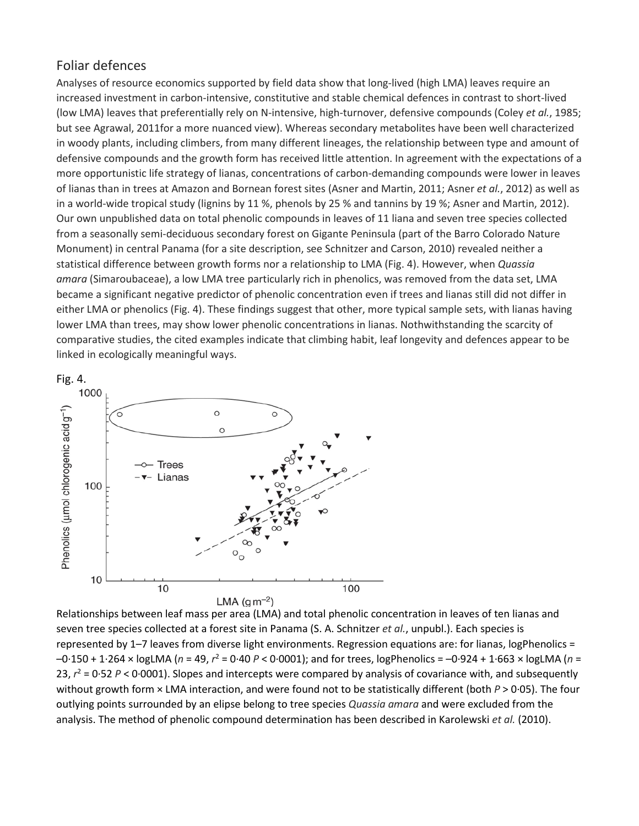#### Foliar defences

Analyses of resource economics supported by field data show that long-lived (high LMA) leaves require an increased investment in carbon-intensive, constitutive and stable chemical defences in contrast to short-lived (low LMA) leaves that preferentially rely on N-intensive, high-turnover, defensive compounds (Coley *et al.*, 1985; but see Agrawal, 2011for a more nuanced view). Whereas secondary metabolites have been well characterized in woody plants, including climbers, from many different lineages, the relationship between type and amount of defensive compounds and the growth form has received little attention. In agreement with the expectations of a more opportunistic life strategy of lianas, concentrations of carbon-demanding compounds were lower in leaves of lianas than in trees at Amazon and Bornean forest sites (Asner and Martin, 2011; Asner *et al.*, 2012) as well as in a world-wide tropical study (lignins by 11 %, phenols by 25 % and tannins by 19 %; Asner and Martin, 2012). Our own unpublished data on total phenolic compounds in leaves of 11 liana and seven tree species collected from a seasonally semi-deciduous secondary forest on Gigante Peninsula (part of the Barro Colorado Nature Monument) in central Panama (for a site description, see Schnitzer and Carson, 2010) revealed neither a statistical difference between growth forms nor a relationship to LMA (Fig. 4). However, when *Quassia amara* (Simaroubaceae), a low LMA tree particularly rich in phenolics, was removed from the data set, LMA became a significant negative predictor of phenolic concentration even if trees and lianas still did not differ in either LMA or phenolics (Fig. 4). These findings suggest that other, more typical sample sets, with lianas having lower LMA than trees, may show lower phenolic concentrations in lianas. Nothwithstanding the scarcity of comparative studies, the cited examples indicate that climbing habit, leaf longevity and defences appear to be linked in ecologically meaningful ways.



Relationships between leaf mass per area (LMA) and total phenolic concentration in leaves of ten lianas and seven tree species collected at a forest site in Panama (S. A. Schnitzer *et al.*, unpubl.). Each species is represented by 1–7 leaves from diverse light environments. Regression equations are: for lianas, logPhenolics = –0·150 + 1·264 × logLMA (*n* = 49, *r* <sup>2</sup> = 0·40 *P* < 0·0001); and for trees, logPhenolics = –0·924 + 1·663 × logLMA (*n* = 23,  $r^2$  = 0·52  $P$  < 0·0001). Slopes and intercepts were compared by analysis of covariance with, and subsequently without growth form × LMA interaction, and were found not to be statistically different (both *P* > 0·05). The four outlying points surrounded by an elipse belong to tree species *Quassia amara* and were excluded from the analysis. The method of phenolic compound determination has been described in Karolewski *et al.* (2010).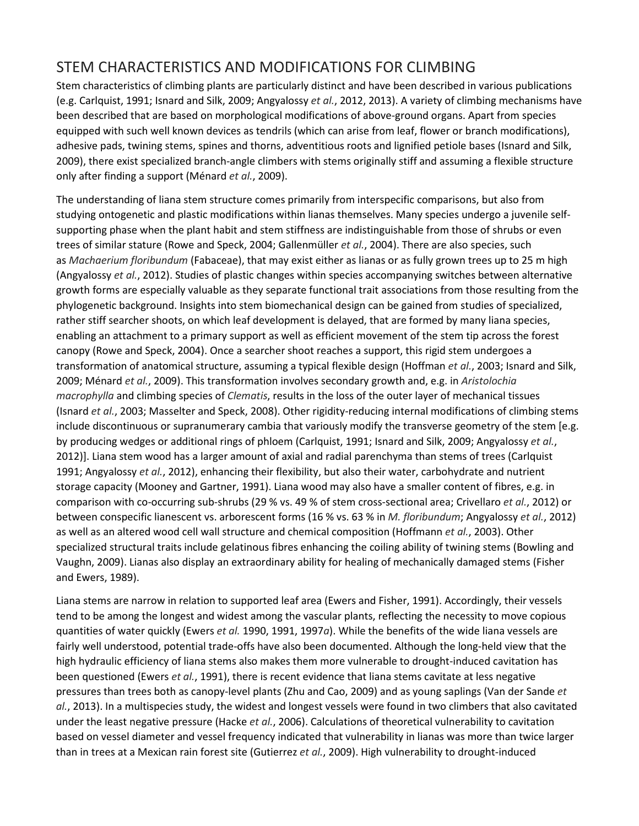## STEM CHARACTERISTICS AND MODIFICATIONS FOR CLIMBING

Stem characteristics of climbing plants are particularly distinct and have been described in various publications (e.g. Carlquist, 1991; Isnard and Silk, 2009; Angyalossy *et al.*, 2012, 2013). A variety of climbing mechanisms have been described that are based on morphological modifications of above-ground organs. Apart from species equipped with such well known devices as tendrils (which can arise from leaf, flower or branch modifications), adhesive pads, twining stems, spines and thorns, adventitious roots and lignified petiole bases (Isnard and Silk, 2009), there exist specialized branch-angle climbers with stems originally stiff and assuming a flexible structure only after finding a support (Ménard *et al.*, 2009).

The understanding of liana stem structure comes primarily from interspecific comparisons, but also from studying ontogenetic and plastic modifications within lianas themselves. Many species undergo a juvenile selfsupporting phase when the plant habit and stem stiffness are indistinguishable from those of shrubs or even trees of similar stature (Rowe and Speck, 2004; Gallenmüller *et al.*, 2004). There are also species, such as *Machaerium floribundum* (Fabaceae), that may exist either as lianas or as fully grown trees up to 25 m high (Angyalossy *et al.*, 2012). Studies of plastic changes within species accompanying switches between alternative growth forms are especially valuable as they separate functional trait associations from those resulting from the phylogenetic background. Insights into stem biomechanical design can be gained from studies of specialized, rather stiff searcher shoots, on which leaf development is delayed, that are formed by many liana species, enabling an attachment to a primary support as well as efficient movement of the stem tip across the forest canopy (Rowe and Speck, 2004). Once a searcher shoot reaches a support, this rigid stem undergoes a transformation of anatomical structure, assuming a typical flexible design (Hoffman *et al.*, 2003; Isnard and Silk, 2009; Ménard *et al.*, 2009). This transformation involves secondary growth and, e.g. in *Aristolochia macrophylla* and climbing species of *Clematis*, results in the loss of the outer layer of mechanical tissues (Isnard *et al.*, 2003; Masselter and Speck, 2008). Other rigidity-reducing internal modifications of climbing stems include discontinuous or supranumerary cambia that variously modify the transverse geometry of the stem [e.g. by producing wedges or additional rings of phloem (Carlquist, 1991; Isnard and Silk, 2009; Angyalossy *et al.*, 2012)]. Liana stem wood has a larger amount of axial and radial parenchyma than stems of trees (Carlquist 1991; Angyalossy *et al.*, 2012), enhancing their flexibility, but also their water, carbohydrate and nutrient storage capacity (Mooney and Gartner, 1991). Liana wood may also have a smaller content of fibres, e.g. in comparison with co-occurring sub-shrubs (29 % vs. 49 % of stem cross-sectional area; Crivellaro *et al.*, 2012) or between conspecific lianescent vs. arborescent forms (16 % vs. 63 % in *M. floribundum*; Angyalossy *et al.*, 2012) as well as an altered wood cell wall structure and chemical composition (Hoffmann *et al.*, 2003). Other specialized structural traits include gelatinous fibres enhancing the coiling ability of twining stems (Bowling and Vaughn, 2009). Lianas also display an extraordinary ability for healing of mechanically damaged stems (Fisher and Ewers, 1989).

Liana stems are narrow in relation to supported leaf area (Ewers and Fisher, 1991). Accordingly, their vessels tend to be among the longest and widest among the vascular plants, reflecting the necessity to move copious quantities of water quickly (Ewers *et al.* 1990, 1991, 1997*a*). While the benefits of the wide liana vessels are fairly well understood, potential trade-offs have also been documented. Although the long-held view that the high hydraulic efficiency of liana stems also makes them more vulnerable to drought-induced cavitation has been questioned (Ewers *et al.*, 1991), there is recent evidence that liana stems cavitate at less negative pressures than trees both as canopy-level plants (Zhu and Cao, 2009) and as young saplings (Van der Sande *et al.*, 2013). In a multispecies study, the widest and longest vessels were found in two climbers that also cavitated under the least negative pressure (Hacke *et al.*, 2006). Calculations of theoretical vulnerability to cavitation based on vessel diameter and vessel frequency indicated that vulnerability in lianas was more than twice larger than in trees at a Mexican rain forest site (Gutierrez *et al.*, 2009). High vulnerability to drought-induced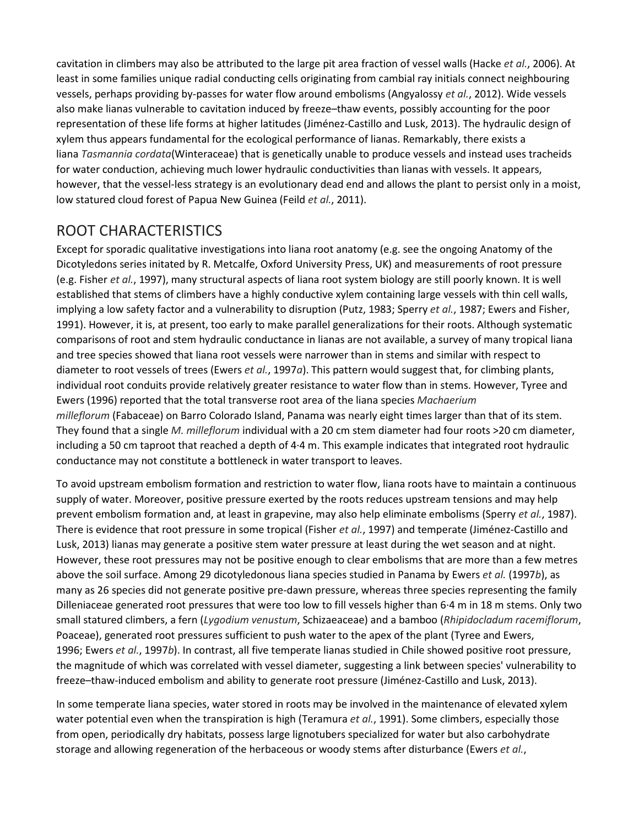cavitation in climbers may also be attributed to the large pit area fraction of vessel walls (Hacke *et al.*, 2006). At least in some families unique radial conducting cells originating from cambial ray initials connect neighbouring vessels, perhaps providing by-passes for water flow around embolisms (Angyalossy *et al.*, 2012). Wide vessels also make lianas vulnerable to cavitation induced by freeze–thaw events, possibly accounting for the poor representation of these life forms at higher latitudes (Jiménez-Castillo and Lusk, 2013). The hydraulic design of xylem thus appears fundamental for the ecological performance of lianas. Remarkably, there exists a liana *Tasmannia cordata*(Winteraceae) that is genetically unable to produce vessels and instead uses tracheids for water conduction, achieving much lower hydraulic conductivities than lianas with vessels. It appears, however, that the vessel-less strategy is an evolutionary dead end and allows the plant to persist only in a moist, low statured cloud forest of Papua New Guinea (Feild *et al.*, 2011).

## ROOT CHARACTERISTICS

Except for sporadic qualitative investigations into liana root anatomy (e.g. see the ongoing Anatomy of the Dicotyledons series initated by R. Metcalfe, Oxford University Press, UK) and measurements of root pressure (e.g. Fisher *et al.*, 1997), many structural aspects of liana root system biology are still poorly known. It is well established that stems of climbers have a highly conductive xylem containing large vessels with thin cell walls, implying a low safety factor and a vulnerability to disruption (Putz, 1983; Sperry *et al.*, 1987; Ewers and Fisher, 1991). However, it is, at present, too early to make parallel generalizations for their roots. Although systematic comparisons of root and stem hydraulic conductance in lianas are not available, a survey of many tropical liana and tree species showed that liana root vessels were narrower than in stems and similar with respect to diameter to root vessels of trees (Ewers *et al.*, 1997*a*). This pattern would suggest that, for climbing plants, individual root conduits provide relatively greater resistance to water flow than in stems. However, Tyree and Ewers (1996) reported that the total transverse root area of the liana species *Machaerium milleflorum* (Fabaceae) on Barro Colorado Island, Panama was nearly eight times larger than that of its stem. They found that a single *M. milleflorum* individual with a 20 cm stem diameter had four roots >20 cm diameter, including a 50 cm taproot that reached a depth of 4·4 m. This example indicates that integrated root hydraulic conductance may not constitute a bottleneck in water transport to leaves.

To avoid upstream embolism formation and restriction to water flow, liana roots have to maintain a continuous supply of water. Moreover, positive pressure exerted by the roots reduces upstream tensions and may help prevent embolism formation and, at least in grapevine, may also help eliminate embolisms (Sperry *et al.*, 1987). There is evidence that root pressure in some tropical (Fisher *et al.*, 1997) and temperate (Jiménez-Castillo and Lusk, 2013) lianas may generate a positive stem water pressure at least during the wet season and at night. However, these root pressures may not be positive enough to clear embolisms that are more than a few metres above the soil surface. Among 29 dicotyledonous liana species studied in Panama by Ewers *et al.* (1997*b*), as many as 26 species did not generate positive pre-dawn pressure, whereas three species representing the family Dilleniaceae generated root pressures that were too low to fill vessels higher than 6·4 m in 18 m stems. Only two small statured climbers, a fern (*Lygodium venustum*, Schizaeaceae) and a bamboo (*Rhipidocladum racemiflorum*, Poaceae), generated root pressures sufficient to push water to the apex of the plant (Tyree and Ewers, 1996; Ewers *et al.*, 1997*b*). In contrast, all five temperate lianas studied in Chile showed positive root pressure, the magnitude of which was correlated with vessel diameter, suggesting a link between species' vulnerability to freeze–thaw-induced embolism and ability to generate root pressure (Jiménez-Castillo and Lusk, 2013).

In some temperate liana species, water stored in roots may be involved in the maintenance of elevated xylem water potential even when the transpiration is high (Teramura *et al.*, 1991). Some climbers, especially those from open, periodically dry habitats, possess large lignotubers specialized for water but also carbohydrate storage and allowing regeneration of the herbaceous or woody stems after disturbance (Ewers *et al.*,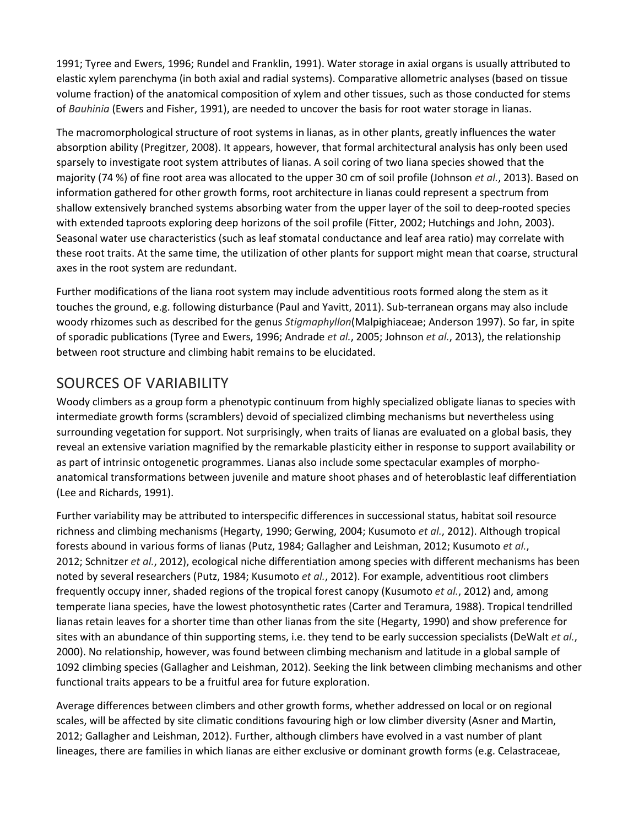1991; Tyree and Ewers, 1996; Rundel and Franklin, 1991). Water storage in axial organs is usually attributed to elastic xylem parenchyma (in both axial and radial systems). Comparative allometric analyses (based on tissue volume fraction) of the anatomical composition of xylem and other tissues, such as those conducted for stems of *Bauhinia* (Ewers and Fisher, 1991), are needed to uncover the basis for root water storage in lianas.

The macromorphological structure of root systems in lianas, as in other plants, greatly influences the water absorption ability (Pregitzer, 2008). It appears, however, that formal architectural analysis has only been used sparsely to investigate root system attributes of lianas. A soil coring of two liana species showed that the majority (74 %) of fine root area was allocated to the upper 30 cm of soil profile (Johnson *et al.*, 2013). Based on information gathered for other growth forms, root architecture in lianas could represent a spectrum from shallow extensively branched systems absorbing water from the upper layer of the soil to deep-rooted species with extended taproots exploring deep horizons of the soil profile (Fitter, 2002; Hutchings and John, 2003). Seasonal water use characteristics (such as leaf stomatal conductance and leaf area ratio) may correlate with these root traits. At the same time, the utilization of other plants for support might mean that coarse, structural axes in the root system are redundant.

Further modifications of the liana root system may include adventitious roots formed along the stem as it touches the ground, e.g. following disturbance (Paul and Yavitt, 2011). Sub-terranean organs may also include woody rhizomes such as described for the genus *Stigmaphyllon*(Malpighiaceae; Anderson 1997). So far, in spite of sporadic publications (Tyree and Ewers, 1996; Andrade *et al.*, 2005; Johnson *et al.*, 2013), the relationship between root structure and climbing habit remains to be elucidated.

## SOURCES OF VARIABILITY

Woody climbers as a group form a phenotypic continuum from highly specialized obligate lianas to species with intermediate growth forms (scramblers) devoid of specialized climbing mechanisms but nevertheless using surrounding vegetation for support. Not surprisingly, when traits of lianas are evaluated on a global basis, they reveal an extensive variation magnified by the remarkable plasticity either in response to support availability or as part of intrinsic ontogenetic programmes. Lianas also include some spectacular examples of morphoanatomical transformations between juvenile and mature shoot phases and of heteroblastic leaf differentiation (Lee and Richards, 1991).

Further variability may be attributed to interspecific differences in successional status, habitat soil resource richness and climbing mechanisms (Hegarty, 1990; Gerwing, 2004; Kusumoto *et al.*, 2012). Although tropical forests abound in various forms of lianas (Putz, 1984; Gallagher and Leishman, 2012; Kusumoto *et al.*, 2012; Schnitzer *et al.*, 2012), ecological niche differentiation among species with different mechanisms has been noted by several researchers (Putz, 1984; Kusumoto *et al.*, 2012). For example, adventitious root climbers frequently occupy inner, shaded regions of the tropical forest canopy (Kusumoto *et al.*, 2012) and, among temperate liana species, have the lowest photosynthetic rates (Carter and Teramura, 1988). Tropical tendrilled lianas retain leaves for a shorter time than other lianas from the site (Hegarty, 1990) and show preference for sites with an abundance of thin supporting stems, i.e. they tend to be early succession specialists (DeWalt *et al.*, 2000). No relationship, however, was found between climbing mechanism and latitude in a global sample of 1092 climbing species (Gallagher and Leishman, 2012). Seeking the link between climbing mechanisms and other functional traits appears to be a fruitful area for future exploration.

Average differences between climbers and other growth forms, whether addressed on local or on regional scales, will be affected by site climatic conditions favouring high or low climber diversity (Asner and Martin, 2012; Gallagher and Leishman, 2012). Further, although climbers have evolved in a vast number of plant lineages, there are families in which lianas are either exclusive or dominant growth forms (e.g. Celastraceae,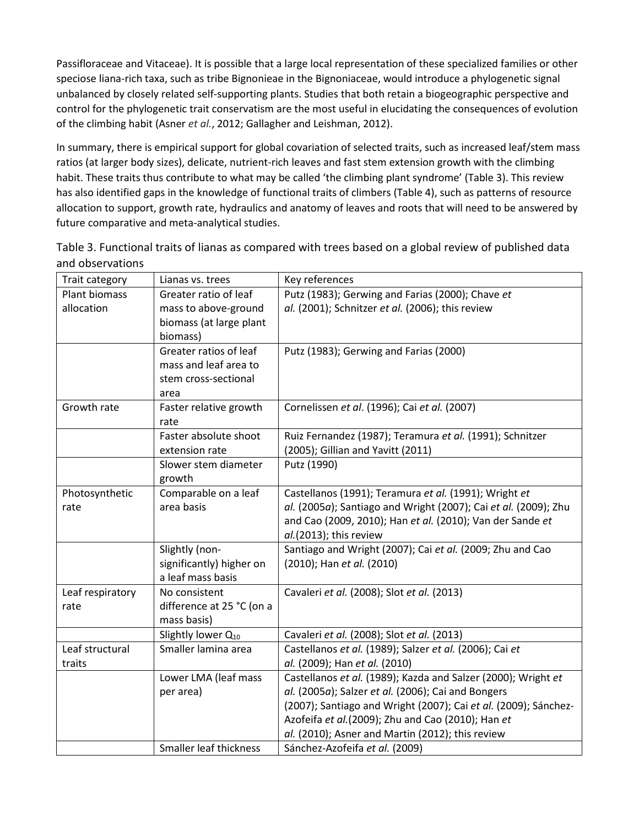Passifloraceae and Vitaceae). It is possible that a large local representation of these specialized families or other speciose liana-rich taxa, such as tribe Bignonieae in the Bignoniaceae, would introduce a phylogenetic signal unbalanced by closely related self-supporting plants. Studies that both retain a biogeographic perspective and control for the phylogenetic trait conservatism are the most useful in elucidating the consequences of evolution of the climbing habit (Asner *et al.*, 2012; Gallagher and Leishman, 2012).

In summary, there is empirical support for global covariation of selected traits, such as increased leaf/stem mass ratios (at larger body sizes), delicate, nutrient-rich leaves and fast stem extension growth with the climbing habit. These traits thus contribute to what may be called 'the climbing plant syndrome' (Table 3). This review has also identified gaps in the knowledge of functional traits of climbers (Table 4), such as patterns of resource allocation to support, growth rate, hydraulics and anatomy of leaves and roots that will need to be answered by future comparative and meta-analytical studies.

| Trait category   | Lianas vs. trees               | Key references                                                  |
|------------------|--------------------------------|-----------------------------------------------------------------|
| Plant biomass    | Greater ratio of leaf          | Putz (1983); Gerwing and Farias (2000); Chave et                |
| allocation       | mass to above-ground           | al. (2001); Schnitzer et al. (2006); this review                |
|                  | biomass (at large plant        |                                                                 |
|                  | biomass)                       |                                                                 |
|                  | Greater ratios of leaf         | Putz (1983); Gerwing and Farias (2000)                          |
|                  | mass and leaf area to          |                                                                 |
|                  | stem cross-sectional           |                                                                 |
|                  | area                           |                                                                 |
| Growth rate      | Faster relative growth         | Cornelissen et al. (1996); Cai et al. (2007)                    |
|                  | rate                           |                                                                 |
|                  | Faster absolute shoot          | Ruiz Fernandez (1987); Teramura et al. (1991); Schnitzer        |
|                  | extension rate                 | (2005); Gillian and Yavitt (2011)                               |
|                  | Slower stem diameter           | Putz (1990)                                                     |
|                  | growth                         |                                                                 |
| Photosynthetic   | Comparable on a leaf           | Castellanos (1991); Teramura et al. (1991); Wright et           |
| rate             | area basis                     | al. (2005a); Santiago and Wright (2007); Cai et al. (2009); Zhu |
|                  |                                | and Cao (2009, 2010); Han et al. (2010); Van der Sande et       |
|                  |                                | al.(2013); this review                                          |
|                  | Slightly (non-                 | Santiago and Wright (2007); Cai et al. (2009; Zhu and Cao       |
|                  | significantly) higher on       | (2010); Han et al. (2010)                                       |
|                  | a leaf mass basis              |                                                                 |
| Leaf respiratory | No consistent                  | Cavaleri et al. (2008); Slot et al. (2013)                      |
| rate             | difference at 25 °C (on a      |                                                                 |
|                  | mass basis)                    |                                                                 |
|                  | Slightly lower Q <sub>10</sub> | Cavaleri et al. (2008); Slot et al. (2013)                      |
| Leaf structural  | Smaller lamina area            | Castellanos et al. (1989); Salzer et al. (2006); Cai et         |
| traits           |                                | al. (2009); Han et al. (2010)                                   |
|                  | Lower LMA (leaf mass           | Castellanos et al. (1989); Kazda and Salzer (2000); Wright et   |
|                  | per area)                      | al. (2005a); Salzer et al. (2006); Cai and Bongers              |
|                  |                                | (2007); Santiago and Wright (2007); Cai et al. (2009); Sánchez- |
|                  |                                | Azofeifa et al.(2009); Zhu and Cao (2010); Han et               |
|                  |                                | al. (2010); Asner and Martin (2012); this review                |
|                  | Smaller leaf thickness         | Sánchez-Azofeifa et al. (2009)                                  |

Table 3. Functional traits of lianas as compared with trees based on a global review of published data and observations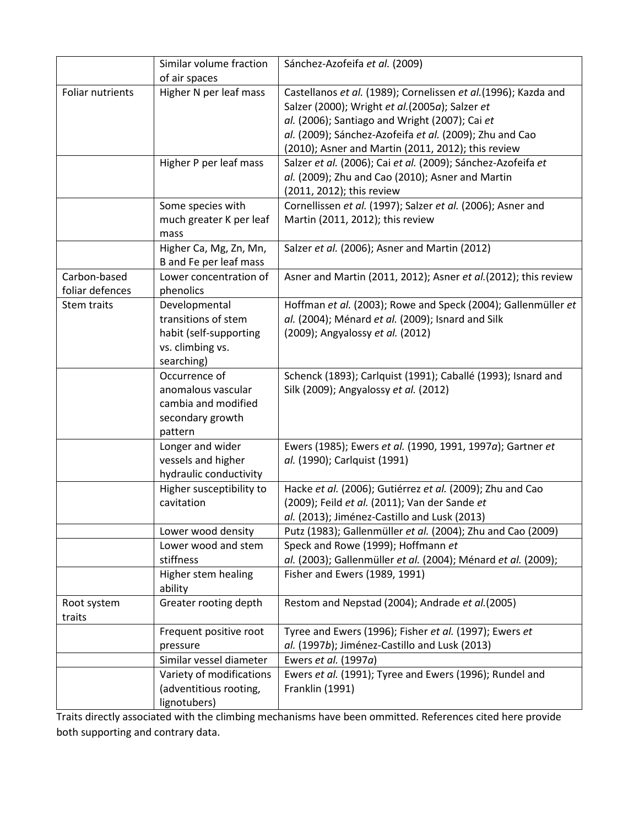|                  | Similar volume fraction  | Sánchez-Azofeifa et al. (2009)                                  |
|------------------|--------------------------|-----------------------------------------------------------------|
|                  | of air spaces            |                                                                 |
| Foliar nutrients | Higher N per leaf mass   | Castellanos et al. (1989); Cornelissen et al.(1996); Kazda and  |
|                  |                          | Salzer (2000); Wright et al.(2005a); Salzer et                  |
|                  |                          | al. (2006); Santiago and Wright (2007); Cai et                  |
|                  |                          | al. (2009); Sánchez-Azofeifa et al. (2009); Zhu and Cao         |
|                  |                          | (2010); Asner and Martin (2011, 2012); this review              |
|                  | Higher P per leaf mass   | Salzer et al. (2006); Cai et al. (2009); Sánchez-Azofeifa et    |
|                  |                          | al. (2009); Zhu and Cao (2010); Asner and Martin                |
|                  |                          | (2011, 2012); this review                                       |
|                  | Some species with        | Cornellissen et al. (1997); Salzer et al. (2006); Asner and     |
|                  | much greater K per leaf  | Martin (2011, 2012); this review                                |
|                  | mass                     |                                                                 |
|                  | Higher Ca, Mg, Zn, Mn,   | Salzer et al. (2006); Asner and Martin (2012)                   |
|                  | B and Fe per leaf mass   |                                                                 |
| Carbon-based     | Lower concentration of   | Asner and Martin (2011, 2012); Asner et al. (2012); this review |
| foliar defences  | phenolics                |                                                                 |
| Stem traits      | Developmental            | Hoffman et al. (2003); Rowe and Speck (2004); Gallenmüller et   |
|                  | transitions of stem      | al. (2004); Ménard et al. (2009); Isnard and Silk               |
|                  | habit (self-supporting   | (2009); Angyalossy et al. (2012)                                |
|                  | vs. climbing vs.         |                                                                 |
|                  | searching)               |                                                                 |
|                  | Occurrence of            | Schenck (1893); Carlquist (1991); Caballé (1993); Isnard and    |
|                  | anomalous vascular       | Silk (2009); Angyalossy et al. (2012)                           |
|                  | cambia and modified      |                                                                 |
|                  | secondary growth         |                                                                 |
|                  | pattern                  |                                                                 |
|                  | Longer and wider         | Ewers (1985); Ewers et al. (1990, 1991, 1997a); Gartner et      |
|                  | vessels and higher       | al. (1990); Carlquist (1991)                                    |
|                  | hydraulic conductivity   |                                                                 |
|                  | Higher susceptibility to | Hacke et al. (2006); Gutiérrez et al. (2009); Zhu and Cao       |
|                  | cavitation               | (2009); Feild et al. (2011); Van der Sande et                   |
|                  |                          | al. (2013); Jiménez-Castillo and Lusk (2013)                    |
|                  | Lower wood density       | Putz (1983); Gallenmüller et al. (2004); Zhu and Cao (2009)     |
|                  | Lower wood and stem      | Speck and Rowe (1999); Hoffmann et                              |
|                  | stiffness                | al. (2003); Gallenmüller et al. (2004); Ménard et al. (2009);   |
|                  | Higher stem healing      | Fisher and Ewers (1989, 1991)                                   |
|                  | ability                  |                                                                 |
| Root system      | Greater rooting depth    | Restom and Nepstad (2004); Andrade et al. (2005)                |
| traits           |                          |                                                                 |
|                  | Frequent positive root   | Tyree and Ewers (1996); Fisher et al. (1997); Ewers et          |
|                  | pressure                 | al. (1997b); Jiménez-Castillo and Lusk (2013)                   |
|                  | Similar vessel diameter  | Ewers et al. (1997a)                                            |
|                  | Variety of modifications | Ewers et al. (1991); Tyree and Ewers (1996); Rundel and         |
|                  | (adventitious rooting,   | Franklin (1991)                                                 |
|                  | lignotubers)             |                                                                 |

Traits directly associated with the climbing mechanisms have been ommitted. References cited here provide both supporting and contrary data.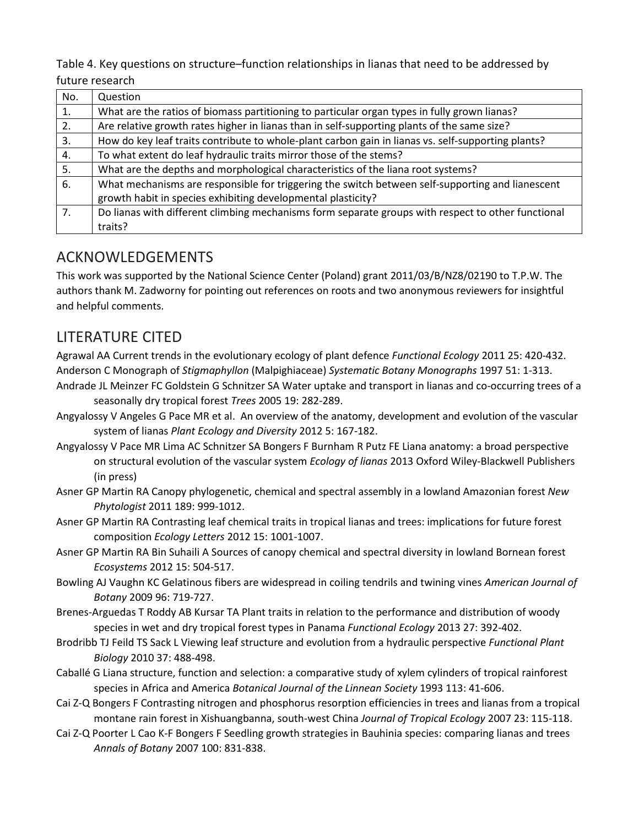Table 4. Key questions on structure–function relationships in lianas that need to be addressed by future research

| No. | Question                                                                                           |
|-----|----------------------------------------------------------------------------------------------------|
| 1.  | What are the ratios of biomass partitioning to particular organ types in fully grown lianas?       |
| 2.  | Are relative growth rates higher in lianas than in self-supporting plants of the same size?        |
| 3.  | How do key leaf traits contribute to whole-plant carbon gain in lianas vs. self-supporting plants? |
| 4.  | To what extent do leaf hydraulic traits mirror those of the stems?                                 |
| 5.  | What are the depths and morphological characteristics of the liana root systems?                   |
| 6.  | What mechanisms are responsible for triggering the switch between self-supporting and lianescent   |
|     | growth habit in species exhibiting developmental plasticity?                                       |
| 7.  | Do lianas with different climbing mechanisms form separate groups with respect to other functional |
|     | traits?                                                                                            |

## ACKNOWLEDGEMENTS

This work was supported by the National Science Center (Poland) grant 2011/03/B/NZ8/02190 to T.P.W. The authors thank M. Zadworny for pointing out references on roots and two anonymous reviewers for insightful and helpful comments.

# LITERATURE CITED

Agrawal AA Current trends in the evolutionary ecology of plant defence *Functional Ecology* 2011 25: 420-432. Anderson C Monograph of *Stigmaphyllon* (Malpighiaceae) *Systematic Botany Monographs* 1997 51: 1-313.

- Andrade JL Meinzer FC Goldstein G Schnitzer SA Water uptake and transport in lianas and co-occurring trees of a seasonally dry tropical forest *Trees* 2005 19: 282-289.
- Angyalossy V Angeles G Pace MR et al. An overview of the anatomy, development and evolution of the vascular system of lianas *Plant Ecology and Diversity* 2012 5: 167-182.
- Angyalossy V Pace MR Lima AC Schnitzer SA Bongers F Burnham R Putz FE Liana anatomy: a broad perspective on structural evolution of the vascular system *Ecology of lianas* 2013 Oxford Wiley-Blackwell Publishers (in press)
- Asner GP Martin RA Canopy phylogenetic, chemical and spectral assembly in a lowland Amazonian forest *New Phytologist* 2011 189: 999-1012.
- Asner GP Martin RA Contrasting leaf chemical traits in tropical lianas and trees: implications for future forest composition *Ecology Letters* 2012 15: 1001-1007.
- Asner GP Martin RA Bin Suhaili A Sources of canopy chemical and spectral diversity in lowland Bornean forest *Ecosystems* 2012 15: 504-517.
- Bowling AJ Vaughn KC Gelatinous fibers are widespread in coiling tendrils and twining vines *American Journal of Botany* 2009 96: 719-727.
- Brenes-Arguedas T Roddy AB Kursar TA Plant traits in relation to the performance and distribution of woody species in wet and dry tropical forest types in Panama *Functional Ecology* 2013 27: 392-402.
- Brodribb TJ Feild TS Sack L Viewing leaf structure and evolution from a hydraulic perspective *Functional Plant Biology* 2010 37: 488-498.
- Caballé G Liana structure, function and selection: a comparative study of xylem cylinders of tropical rainforest species in Africa and America *Botanical Journal of the Linnean Society* 1993 113: 41-606.
- Cai Z-Q Bongers F Contrasting nitrogen and phosphorus resorption efficiencies in trees and lianas from a tropical montane rain forest in Xishuangbanna, south-west China *Journal of Tropical Ecology* 2007 23: 115-118.
- Cai Z-Q Poorter L Cao K-F Bongers F Seedling growth strategies in Bauhinia species: comparing lianas and trees *Annals of Botany* 2007 100: 831-838.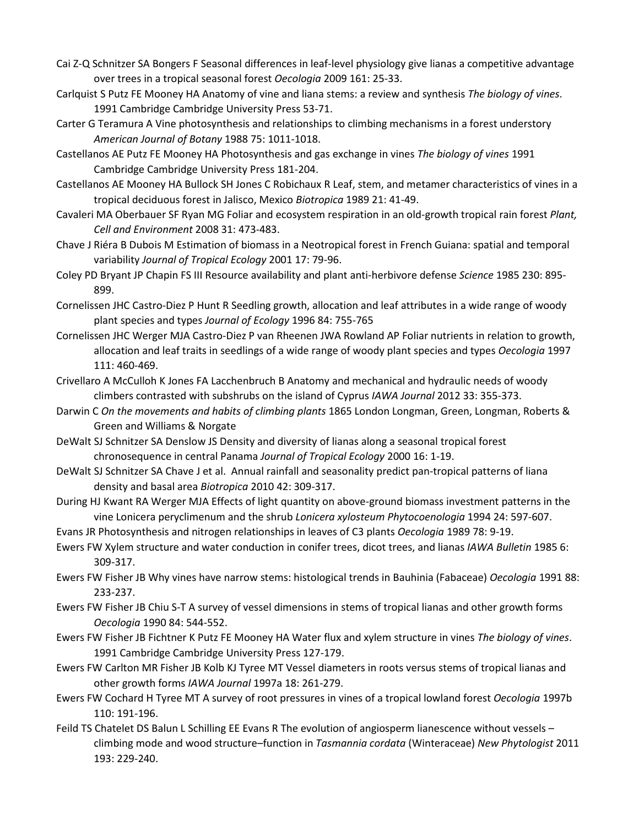- Cai Z-Q Schnitzer SA Bongers F Seasonal differences in leaf-level physiology give lianas a competitive advantage over trees in a tropical seasonal forest *Oecologia* 2009 161: 25-33.
- Carlquist S Putz FE Mooney HA Anatomy of vine and liana stems: a review and synthesis *The biology of vines*. 1991 Cambridge Cambridge University Press 53-71.
- Carter G Teramura A Vine photosynthesis and relationships to climbing mechanisms in a forest understory *American Journal of Botany* 1988 75: 1011-1018.
- Castellanos AE Putz FE Mooney HA Photosynthesis and gas exchange in vines *The biology of vines* 1991 Cambridge Cambridge University Press 181-204.
- Castellanos AE Mooney HA Bullock SH Jones C Robichaux R Leaf, stem, and metamer characteristics of vines in a tropical deciduous forest in Jalisco, Mexico *Biotropica* 1989 21: 41-49.
- Cavaleri MA Oberbauer SF Ryan MG Foliar and ecosystem respiration in an old-growth tropical rain forest *Plant, Cell and Environment* 2008 31: 473-483.
- Chave J Riéra B Dubois M Estimation of biomass in a Neotropical forest in French Guiana: spatial and temporal variability *Journal of Tropical Ecology* 2001 17: 79-96.
- Coley PD Bryant JP Chapin FS III Resource availability and plant anti-herbivore defense *Science* 1985 230: 895- 899.
- Cornelissen JHC Castro-Diez P Hunt R Seedling growth, allocation and leaf attributes in a wide range of woody plant species and types *Journal of Ecology* 1996 84: 755-765
- Cornelissen JHC Werger MJA Castro-Diez P van Rheenen JWA Rowland AP Foliar nutrients in relation to growth, allocation and leaf traits in seedlings of a wide range of woody plant species and types *Oecologia* 1997 111: 460-469.
- Crivellaro A McCulloh K Jones FA Lacchenbruch B Anatomy and mechanical and hydraulic needs of woody climbers contrasted with subshrubs on the island of Cyprus *IAWA Journal* 2012 33: 355-373.
- Darwin C *On the movements and habits of climbing plants* 1865 London Longman, Green, Longman, Roberts & Green and Williams & Norgate
- DeWalt SJ Schnitzer SA Denslow JS Density and diversity of lianas along a seasonal tropical forest chronosequence in central Panama *Journal of Tropical Ecology* 2000 16: 1-19.
- DeWalt SJ Schnitzer SA Chave J et al. Annual rainfall and seasonality predict pan-tropical patterns of liana density and basal area *Biotropica* 2010 42: 309-317.
- During HJ Kwant RA Werger MJA Effects of light quantity on above-ground biomass investment patterns in the vine Lonicera peryclimenum and the shrub *Lonicera xylosteum Phytocoenologia* 1994 24: 597-607.
- Evans JR Photosynthesis and nitrogen relationships in leaves of C3 plants *Oecologia* 1989 78: 9-19.
- Ewers FW Xylem structure and water conduction in conifer trees, dicot trees, and lianas *IAWA Bulletin* 1985 6: 309-317.
- Ewers FW Fisher JB Why vines have narrow stems: histological trends in Bauhinia (Fabaceae) *Oecologia* 1991 88: 233-237.
- Ewers FW Fisher JB Chiu S-T A survey of vessel dimensions in stems of tropical lianas and other growth forms *Oecologia* 1990 84: 544-552.
- Ewers FW Fisher JB Fichtner K Putz FE Mooney HA Water flux and xylem structure in vines *The biology of vines*. 1991 Cambridge Cambridge University Press 127-179.
- Ewers FW Carlton MR Fisher JB Kolb KJ Tyree MT Vessel diameters in roots versus stems of tropical lianas and other growth forms *IAWA Journal* 1997a 18: 261-279.
- Ewers FW Cochard H Tyree MT A survey of root pressures in vines of a tropical lowland forest *Oecologia* 1997b 110: 191-196.
- Feild TS Chatelet DS Balun L Schilling EE Evans R The evolution of angiosperm lianescence without vessels climbing mode and wood structure–function in *Tasmannia cordata* (Winteraceae) *New Phytologist* 2011 193: 229-240.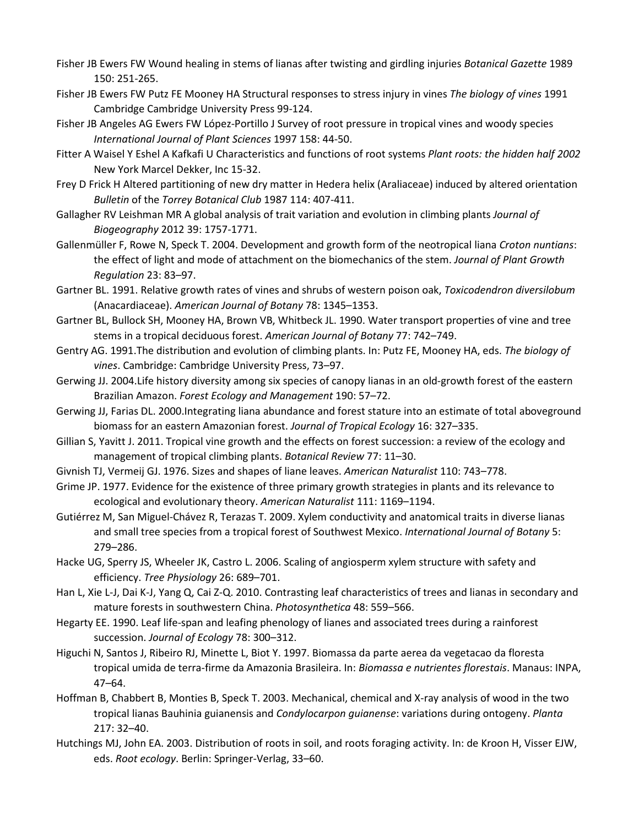- Fisher JB Ewers FW Wound healing in stems of lianas after twisting and girdling injuries *Botanical Gazette* 1989 150: 251-265.
- Fisher JB Ewers FW Putz FE Mooney HA Structural responses to stress injury in vines *The biology of vines* 1991 Cambridge Cambridge University Press 99-124.
- Fisher JB Angeles AG Ewers FW López-Portillo J Survey of root pressure in tropical vines and woody species *International Journal of Plant Sciences* 1997 158: 44-50.
- Fitter A Waisel Y Eshel A Kafkafi U Characteristics and functions of root systems *Plant roots: the hidden half 2002*  New York Marcel Dekker, Inc 15-32.
- Frey D Frick H Altered partitioning of new dry matter in Hedera helix (Araliaceae) induced by altered orientation *Bulletin* of the *Torrey Botanical Club* 1987 114: 407-411.
- Gallagher RV Leishman MR A global analysis of trait variation and evolution in climbing plants *Journal of Biogeography* 2012 39: 1757-1771.
- Gallenmüller F, Rowe N, Speck T. 2004. Development and growth form of the neotropical liana *Croton nuntians*: the effect of light and mode of attachment on the biomechanics of the stem. *Journal of Plant Growth Regulation* 23: 83–97.
- Gartner BL. 1991. Relative growth rates of vines and shrubs of western poison oak, *Toxicodendron diversilobum* (Anacardiaceae). *American Journal of Botany* 78: 1345–1353.
- Gartner BL, Bullock SH, Mooney HA, Brown VB, Whitbeck JL. 1990. Water transport properties of vine and tree stems in a tropical deciduous forest. *American Journal of Botany* 77: 742–749.
- Gentry AG. 1991.The distribution and evolution of climbing plants. In: Putz FE, Mooney HA, eds. *The biology of vines*. Cambridge: Cambridge University Press, 73–97.
- Gerwing JJ. 2004.Life history diversity among six species of canopy lianas in an old-growth forest of the eastern Brazilian Amazon. *Forest Ecology and Management* 190: 57–72.
- Gerwing JJ, Farias DL. 2000.Integrating liana abundance and forest stature into an estimate of total aboveground biomass for an eastern Amazonian forest. *Journal of Tropical Ecology* 16: 327–335.
- Gillian S, Yavitt J. 2011. Tropical vine growth and the effects on forest succession: a review of the ecology and management of tropical climbing plants. *Botanical Review* 77: 11–30.
- Givnish TJ, Vermeij GJ. 1976. Sizes and shapes of liane leaves. *American Naturalist* 110: 743–778.
- Grime JP. 1977. Evidence for the existence of three primary growth strategies in plants and its relevance to ecological and evolutionary theory. *American Naturalist* 111: 1169–1194.
- Gutiérrez M, San Miguel-Chávez R, Terazas T. 2009. Xylem conductivity and anatomical traits in diverse lianas and small tree species from a tropical forest of Southwest Mexico. *International Journal of Botany* 5: 279–286.
- Hacke UG, Sperry JS, Wheeler JK, Castro L. 2006. Scaling of angiosperm xylem structure with safety and efficiency. *Tree Physiology* 26: 689–701.
- Han L, Xie L-J, Dai K-J, Yang Q, Cai Z-Q. 2010. Contrasting leaf characteristics of trees and lianas in secondary and mature forests in southwestern China. *Photosynthetica* 48: 559–566.
- Hegarty EE. 1990. Leaf life-span and leafing phenology of lianes and associated trees during a rainforest succession. *Journal of Ecology* 78: 300–312.
- Higuchi N, Santos J, Ribeiro RJ, Minette L, Biot Y. 1997. Biomassa da parte aerea da vegetacao da floresta tropical umida de terra-firme da Amazonia Brasileira. In: *Biomassa e nutrientes florestais*. Manaus: INPA, 47–64.
- Hoffman B, Chabbert B, Monties B, Speck T. 2003. Mechanical, chemical and X-ray analysis of wood in the two tropical lianas Bauhinia guianensis and *Condylocarpon guianense*: variations during ontogeny. *Planta* 217: 32–40.
- Hutchings MJ, John EA. 2003. Distribution of roots in soil, and roots foraging activity. In: de Kroon H, Visser EJW, eds. *Root ecology*. Berlin: Springer-Verlag, 33–60.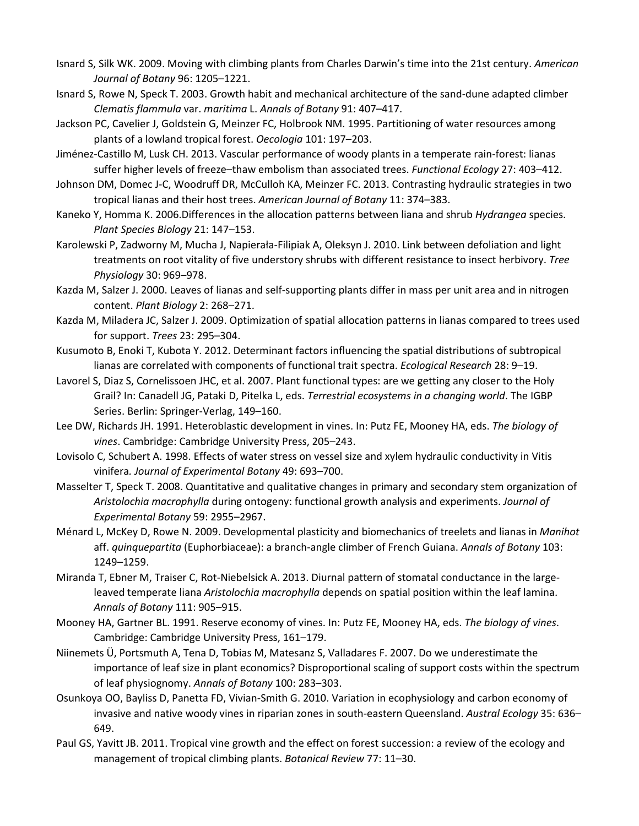- Isnard S, Silk WK. 2009. Moving with climbing plants from Charles Darwin's time into the 21st century. *American Journal of Botany* 96: 1205–1221.
- Isnard S, Rowe N, Speck T. 2003. Growth habit and mechanical architecture of the sand-dune adapted climber *Clematis flammula* var. *maritima* L. *Annals of Botany* 91: 407–417.
- Jackson PC, Cavelier J, Goldstein G, Meinzer FC, Holbrook NM. 1995. Partitioning of water resources among plants of a lowland tropical forest. *Oecologia* 101: 197–203.
- Jiménez-Castillo M, Lusk CH. 2013. Vascular performance of woody plants in a temperate rain-forest: lianas suffer higher levels of freeze–thaw embolism than associated trees. *Functional Ecology* 27: 403–412.
- Johnson DM, Domec J-C, Woodruff DR, McCulloh KA, Meinzer FC. 2013. Contrasting hydraulic strategies in two tropical lianas and their host trees. *American Journal of Botany* 11: 374–383.
- Kaneko Y, Homma K. 2006.Differences in the allocation patterns between liana and shrub *Hydrangea* species. *Plant Species Biology* 21: 147–153.
- Karolewski P, Zadworny M, Mucha J, Napierała-Filipiak A, Oleksyn J. 2010. Link between defoliation and light treatments on root vitality of five understory shrubs with different resistance to insect herbivory. *Tree Physiology* 30: 969–978.
- Kazda M, Salzer J. 2000. Leaves of lianas and self-supporting plants differ in mass per unit area and in nitrogen content. *Plant Biology* 2: 268–271.
- Kazda M, Miladera JC, Salzer J. 2009. Optimization of spatial allocation patterns in lianas compared to trees used for support. *Trees* 23: 295–304.
- Kusumoto B, Enoki T, Kubota Y. 2012. Determinant factors influencing the spatial distributions of subtropical lianas are correlated with components of functional trait spectra. *Ecological Research* 28: 9–19.
- Lavorel S, Diaz S, Cornelissoen JHC, et al. 2007. Plant functional types: are we getting any closer to the Holy Grail? In: Canadell JG, Pataki D, Pitelka L, eds. *Terrestrial ecosystems in a changing world*. The IGBP Series. Berlin: Springer-Verlag, 149–160.
- Lee DW, Richards JH. 1991. Heteroblastic development in vines. In: Putz FE, Mooney HA, eds. *The biology of vines*. Cambridge: Cambridge University Press, 205–243.
- Lovisolo C, Schubert A. 1998. Effects of water stress on vessel size and xylem hydraulic conductivity in Vitis vinifera*. Journal of Experimental Botany* 49: 693–700.
- Masselter T, Speck T. 2008. Quantitative and qualitative changes in primary and secondary stem organization of *Aristolochia macrophylla* during ontogeny: functional growth analysis and experiments. *Journal of Experimental Botany* 59: 2955–2967.
- Ménard L, McKey D, Rowe N. 2009. Developmental plasticity and biomechanics of treelets and lianas in *Manihot* aff. *quinquepartita* (Euphorbiaceae): a branch-angle climber of French Guiana. *Annals of Botany* 103: 1249–1259.
- Miranda T, Ebner M, Traiser C, Rot-Niebelsick A. 2013. Diurnal pattern of stomatal conductance in the largeleaved temperate liana *Aristolochia macrophylla* depends on spatial position within the leaf lamina. *Annals of Botany* 111: 905–915.
- Mooney HA, Gartner BL. 1991. Reserve economy of vines. In: Putz FE, Mooney HA, eds. *The biology of vines*. Cambridge: Cambridge University Press, 161–179.
- Niinemets Ü, Portsmuth A, Tena D, Tobias M, Matesanz S, Valladares F. 2007. Do we underestimate the importance of leaf size in plant economics? Disproportional scaling of support costs within the spectrum of leaf physiognomy. *Annals of Botany* 100: 283–303.
- Osunkoya OO, Bayliss D, Panetta FD, Vivian-Smith G. 2010. Variation in ecophysiology and carbon economy of invasive and native woody vines in riparian zones in south-eastern Queensland. *Austral Ecology* 35: 636– 649.
- Paul GS, Yavitt JB. 2011. Tropical vine growth and the effect on forest succession: a review of the ecology and management of tropical climbing plants. *Botanical Review* 77: 11–30.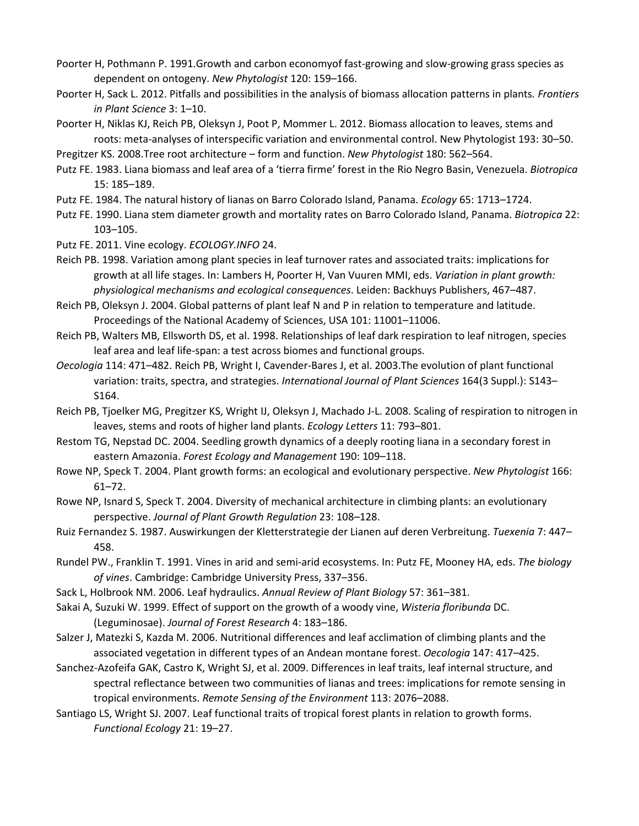- Poorter H, Pothmann P. 1991.Growth and carbon economyof fast-growing and slow-growing grass species as dependent on ontogeny. *New Phytologist* 120: 159–166.
- Poorter H, Sack L. 2012. Pitfalls and possibilities in the analysis of biomass allocation patterns in plants*. Frontiers in Plant Science* 3: 1–10.
- Poorter H, Niklas KJ, Reich PB, Oleksyn J, Poot P, Mommer L. 2012. Biomass allocation to leaves, stems and roots: meta-analyses of interspecific variation and environmental control. New Phytologist 193: 30–50.
- Pregitzer KS. 2008.Tree root architecture form and function. *New Phytologist* 180: 562–564.
- Putz FE. 1983. Liana biomass and leaf area of a 'tierra firme' forest in the Rio Negro Basin, Venezuela. *Biotropica* 15: 185–189.
- Putz FE. 1984. The natural history of lianas on Barro Colorado Island, Panama. *Ecology* 65: 1713–1724.
- Putz FE. 1990. Liana stem diameter growth and mortality rates on Barro Colorado Island, Panama. *Biotropica* 22: 103–105.
- Putz FE. 2011. Vine ecology. *ECOLOGY.INFO* 24.
- Reich PB. 1998. Variation among plant species in leaf turnover rates and associated traits: implications for growth at all life stages. In: Lambers H, Poorter H, Van Vuuren MMI, eds. *Variation in plant growth: physiological mechanisms and ecological consequences*. Leiden: Backhuys Publishers, 467–487.
- Reich PB, Oleksyn J. 2004. Global patterns of plant leaf N and P in relation to temperature and latitude. Proceedings of the National Academy of Sciences, USA 101: 11001–11006.
- Reich PB, Walters MB, Ellsworth DS, et al. 1998. Relationships of leaf dark respiration to leaf nitrogen, species leaf area and leaf life-span: a test across biomes and functional groups.
- *Oecologia* 114: 471–482. Reich PB, Wright I, Cavender-Bares J, et al. 2003.The evolution of plant functional variation: traits, spectra, and strategies. *International Journal of Plant Sciences* 164(3 Suppl.): S143– S164.
- Reich PB, Tjoelker MG, Pregitzer KS, Wright IJ, Oleksyn J, Machado J-L. 2008. Scaling of respiration to nitrogen in leaves, stems and roots of higher land plants. *Ecology Letters* 11: 793–801.
- Restom TG, Nepstad DC. 2004. Seedling growth dynamics of a deeply rooting liana in a secondary forest in eastern Amazonia. *Forest Ecology and Management* 190: 109–118.
- Rowe NP, Speck T. 2004. Plant growth forms: an ecological and evolutionary perspective. *New Phytologist* 166: 61–72.
- Rowe NP, Isnard S, Speck T. 2004. Diversity of mechanical architecture in climbing plants: an evolutionary perspective. *Journal of Plant Growth Regulation* 23: 108–128.
- Ruiz Fernandez S. 1987. Auswirkungen der Kletterstrategie der Lianen auf deren Verbreitung. *Tuexenia* 7: 447– 458.
- Rundel PW., Franklin T. 1991. Vines in arid and semi-arid ecosystems. In: Putz FE, Mooney HA, eds. *The biology of vines*. Cambridge: Cambridge University Press, 337–356.
- Sack L, Holbrook NM. 2006. Leaf hydraulics. *Annual Review of Plant Biology* 57: 361–381.
- Sakai A, Suzuki W. 1999. Effect of support on the growth of a woody vine, *Wisteria floribunda* DC. (Leguminosae). *Journal of Forest Research* 4: 183–186.
- Salzer J, Matezki S, Kazda M. 2006. Nutritional differences and leaf acclimation of climbing plants and the associated vegetation in different types of an Andean montane forest. *Oecologia* 147: 417–425.
- Sanchez-Azofeifa GAK, Castro K, Wright SJ, et al. 2009. Differences in leaf traits, leaf internal structure, and spectral reflectance between two communities of lianas and trees: implications for remote sensing in tropical environments. *Remote Sensing of the Environment* 113: 2076–2088.
- Santiago LS, Wright SJ. 2007. Leaf functional traits of tropical forest plants in relation to growth forms. *Functional Ecology* 21: 19–27.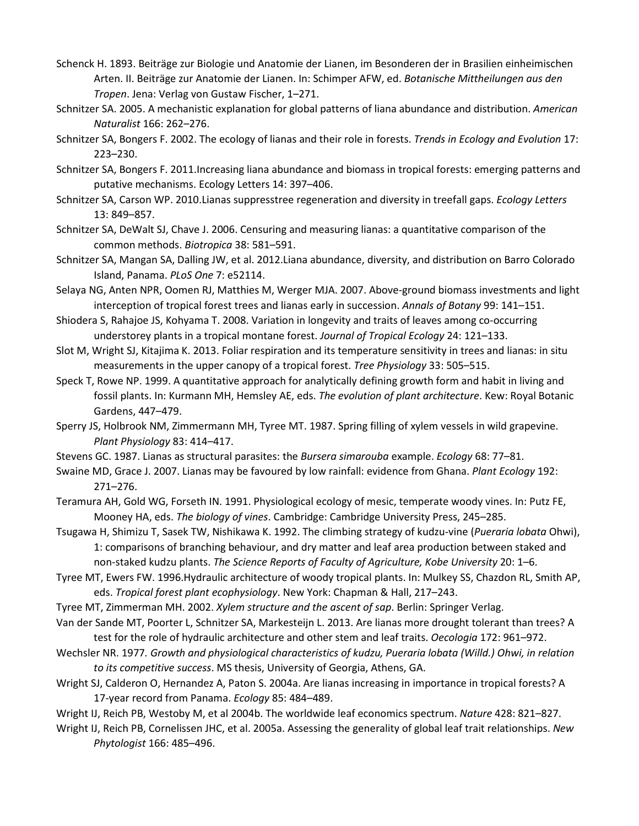- Schenck H. 1893. Beiträge zur Biologie und Anatomie der Lianen, im Besonderen der in Brasilien einheimischen Arten. II. Beiträge zur Anatomie der Lianen. In: Schimper AFW, ed. *Botanische Mittheilungen aus den Tropen*. Jena: Verlag von Gustaw Fischer, 1–271.
- Schnitzer SA. 2005. A mechanistic explanation for global patterns of liana abundance and distribution. *American Naturalist* 166: 262–276.
- Schnitzer SA, Bongers F. 2002. The ecology of lianas and their role in forests. *Trends in Ecology and Evolution* 17: 223–230.
- Schnitzer SA, Bongers F. 2011.Increasing liana abundance and biomass in tropical forests: emerging patterns and putative mechanisms. Ecology Letters 14: 397–406.
- Schnitzer SA, Carson WP. 2010.Lianas suppresstree regeneration and diversity in treefall gaps. *Ecology Letters* 13: 849–857.
- Schnitzer SA, DeWalt SJ, Chave J. 2006. Censuring and measuring lianas: a quantitative comparison of the common methods. *Biotropica* 38: 581–591.
- Schnitzer SA, Mangan SA, Dalling JW, et al. 2012.Liana abundance, diversity, and distribution on Barro Colorado Island, Panama. *PLoS One* 7: e52114.
- Selaya NG, Anten NPR, Oomen RJ, Matthies M, Werger MJA. 2007. Above-ground biomass investments and light interception of tropical forest trees and lianas early in succession. *Annals of Botany* 99: 141–151.
- Shiodera S, Rahajoe JS, Kohyama T. 2008. Variation in longevity and traits of leaves among co-occurring understorey plants in a tropical montane forest. *Journal of Tropical Ecology* 24: 121–133.
- Slot M, Wright SJ, Kitajima K. 2013. Foliar respiration and its temperature sensitivity in trees and lianas: in situ measurements in the upper canopy of a tropical forest. *Tree Physiology* 33: 505–515.
- Speck T, Rowe NP. 1999. A quantitative approach for analytically defining growth form and habit in living and fossil plants. In: Kurmann MH, Hemsley AE, eds. *The evolution of plant architecture*. Kew: Royal Botanic Gardens, 447–479.
- Sperry JS, Holbrook NM, Zimmermann MH, Tyree MT. 1987. Spring filling of xylem vessels in wild grapevine. *Plant Physiology* 83: 414–417.
- Stevens GC. 1987. Lianas as structural parasites: the *Bursera simarouba* example. *Ecology* 68: 77–81.
- Swaine MD, Grace J. 2007. Lianas may be favoured by low rainfall: evidence from Ghana. *Plant Ecology* 192: 271–276.
- Teramura AH, Gold WG, Forseth IN. 1991. Physiological ecology of mesic, temperate woody vines. In: Putz FE, Mooney HA, eds. *The biology of vines*. Cambridge: Cambridge University Press, 245–285.
- Tsugawa H, Shimizu T, Sasek TW, Nishikawa K. 1992. The climbing strategy of kudzu-vine (*Pueraria lobata* Ohwi), 1: comparisons of branching behaviour, and dry matter and leaf area production between staked and non-staked kudzu plants. *The Science Reports of Faculty of Agriculture, Kobe University* 20: 1–6.
- Tyree MT, Ewers FW. 1996.Hydraulic architecture of woody tropical plants. In: Mulkey SS, Chazdon RL, Smith AP, eds. *Tropical forest plant ecophysiology*. New York: Chapman & Hall, 217–243.
- Tyree MT, Zimmerman MH. 2002. *Xylem structure and the ascent of sap*. Berlin: Springer Verlag.
- Van der Sande MT, Poorter L, Schnitzer SA, Markesteijn L. 2013. Are lianas more drought tolerant than trees? A test for the role of hydraulic architecture and other stem and leaf traits. *Oecologia* 172: 961–972.
- Wechsler NR. 1977*. Growth and physiological characteristics of kudzu, Pueraria lobata (Willd.) Ohwi, in relation to its competitive success*. MS thesis, University of Georgia, Athens, GA.
- Wright SJ, Calderon O, Hernandez A, Paton S. 2004a. Are lianas increasing in importance in tropical forests? A 17-year record from Panama. *Ecology* 85: 484–489.
- Wright IJ, Reich PB, Westoby M, et al 2004b. The worldwide leaf economics spectrum. *Nature* 428: 821–827.
- Wright IJ, Reich PB, Cornelissen JHC, et al. 2005a. Assessing the generality of global leaf trait relationships. *New Phytologist* 166: 485–496.